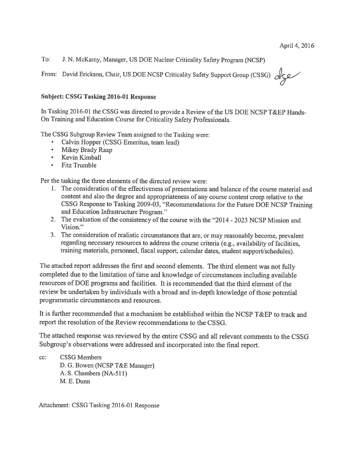$To:$ J. N. McKamy, Manager, US DOE Nuclear Criticality Safety Program (NCSP)

From: David Erickson, Chair, US DOE NCSP Criticality Safety Support Group (CSSG)

#### **Subject: CSSG Tasking 2016-01 Response**

In Tasking 2016-01 the CSSG was directed to provide a Review of the US DOE NCSP T&EP Hands-On Training and Education Course for Criticality Safety Professionals.

The CSSG Subgroup Review Team assigned to the Tasking were:

- Calvin Hopper (CSSG Emeritus, team lead)
- Mikey Brady Raap
- Kevin Kimball
- **Fitz Trumble**  $\bullet$  .

Per the tasking the three elements of the directed review were:

- 1. The consideration of the effectiveness of presentations and balance of the course material and content and also the degree and appropriateness of any course content creep relative to the CSSG Response to Tasking 2009-03, "Recommendations for the Future DOE NCSP Training and Education Infrastructure Program."
- 2. The evaluation of the consistency of the course with the "2014 2023 NCSP Mission and Vision."
- 3. The consideration of realistic circumstances that are, or may reasonably become, prevalent regarding necessary resources to address the course criteria (e.g., availability of facilities, training materials, personnel, fiscal support, calendar dates, student support/schedules).

The attached report addresses the first and second elements. The third element was not fully completed due to the limitation of time and knowledge of circumstances including available resources of DOE programs and facilities. It is recommended that the third element of the review be undertaken by individuals with a broad and in-depth knowledge of those potential programmatic circumstances and resources.

It is further recommended that a mechanism be established within the NCSP T&EP to track and report the resolution of the Review recommendations to the CSSG.

The attached response was reviewed by the entire CSSG and all relevant comments to the CSSG Subgroup's observations were addressed and incorporated into the final report.

 $cc$ : **CSSG Members** 

D. G. Bowen (NCSP T&E Manager) A. S. Chambers (NA-511)

M. E. Dunn

Attachment: CSSG Tasking 2016-01 Response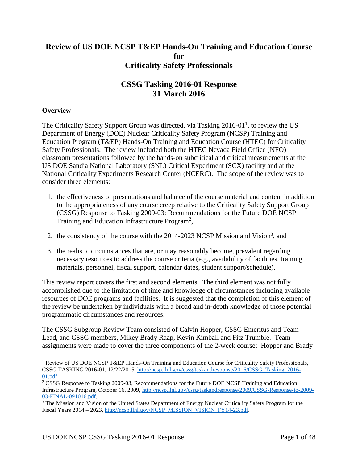# **Review of US DOE NCSP T&EP Hands-On Training and Education Course for Criticality Safety Professionals**

# **CSSG Tasking 2016-01 Response 31 March 2016**

## **Overview**

 $\overline{a}$ 

The Criticality Safety Support Group was directed, via Tasking  $2016-01<sup>1</sup>$ , to review the US Department of Energy (DOE) Nuclear Criticality Safety Program (NCSP) Training and Education Program (T&EP) Hands-On Training and Education Course (HTEC) for Criticality Safety Professionals. The review included both the HTEC Nevada Field Office (NFO) classroom presentations followed by the hands-on subcritical and critical measurements at the US DOE Sandia National Laboratory (SNL) Critical Experiment (SCX) facility and at the National Criticality Experiments Research Center (NCERC). The scope of the review was to consider three elements:

- 1. the effectiveness of presentations and balance of the course material and content in addition to the appropriateness of any course creep relative to the Criticality Safety Support Group (CSSG) Response to Tasking 2009-03: Recommendations for the Future DOE NCSP Training and Education Infrastructure Program<sup>2</sup>,
- 2. the consistency of the course with the 2014-2023 NCSP Mission and Vision<sup>3</sup>, and
- 3. the realistic circumstances that are, or may reasonably become, prevalent regarding necessary resources to address the course criteria (e.g., availability of facilities, training materials, personnel, fiscal support, calendar dates, student support/schedule).

This review report covers the first and second elements. The third element was not fully accomplished due to the limitation of time and knowledge of circumstances including available resources of DOE programs and facilities. It is suggested that the completion of this element of the review be undertaken by individuals with a broad and in-depth knowledge of those potential programmatic circumstances and resources.

The CSSG Subgroup Review Team consisted of Calvin Hopper, CSSG Emeritus and Team Lead, and CSSG members, Mikey Brady Raap, Kevin Kimball and Fitz Trumble. Team assignments were made to cover the three components of the 2-week course: Hopper and Brady

<sup>1</sup> Review of US DOE NCSP T&EP Hands-On Training and Education Course for Criticality Safety Professionals, CSSG TASKING 2016-01, 12/22/2015, [http://ncsp.llnl.gov/cssg/taskandresponse/2016/CSSG\\_Tasking\\_2016-](http://ncsp.llnl.gov/cssg/taskandresponse/2016/CSSG_Tasking_2016-01.pdf) [01.pdf.](http://ncsp.llnl.gov/cssg/taskandresponse/2016/CSSG_Tasking_2016-01.pdf)

<sup>&</sup>lt;sup>2</sup> CSSG Response to Tasking 2009-03, Recommendations for the Future DOE NCSP Training and Education Infrastructure Program, October 16, 2009, [http://ncsp.llnl.gov/cssg/taskandresponse/2009/CSSG-Response-to-2009-](http://ncsp.llnl.gov/cssg/taskandresponse/2009/CSSG-Response-to-2009-03-FINAL-091016.pdf) [03-FINAL-091016.pdf.](http://ncsp.llnl.gov/cssg/taskandresponse/2009/CSSG-Response-to-2009-03-FINAL-091016.pdf)

<sup>&</sup>lt;sup>3</sup> The Mission and Vision of the United States Department of Energy Nuclear Criticality Safety Program for the Fiscal Years 2014 – 2023, [http://ncsp.llnl.gov/NCSP\\_MISSION\\_VISION\\_FY14-23.pdf.](http://ncsp.llnl.gov/NCSP_MISSION_VISION_FY14-23.pdf)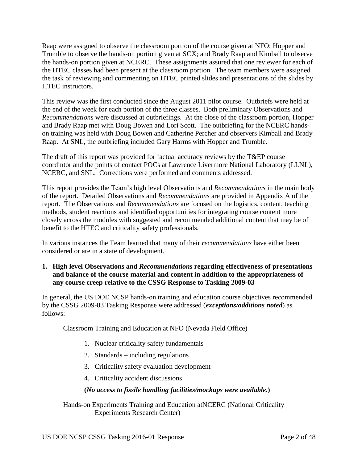Raap were assigned to observe the classroom portion of the course given at NFO; Hopper and Trumble to observe the hands-on portion given at SCX; and Brady Raap and Kimball to observe the hands-on portion given at NCERC. These assignments assured that one reviewer for each of the HTEC classes had been present at the classroom portion. The team members were assigned the task of reviewing and commenting on HTEC printed slides and presentations of the slides by HTEC instructors.

This review was the first conducted since the August 2011 pilot course. Outbriefs were held at the end of the week for each portion of the three classes. Both preliminary Observations and *Recommendations* were discussed at outbriefings. At the close of the classroom portion, Hopper and Brady Raap met with Doug Bowen and Lori Scott. The outbriefing for the NCERC handson training was held with Doug Bowen and Catherine Percher and observers Kimball and Brady Raap. At SNL, the outbriefing included Gary Harms with Hopper and Trumble.

The draft of this report was provided for factual accuracy reviews by the T&EP course coordintor and the points of contact POCs at Lawrence Livermore National Laboratory (LLNL), NCERC, and SNL. Corrections were performed and comments addressed.

This report provides the Team's high level Observations and *Recommendations* in the main body of the report. Detailed Observations and *Recommendations* are provided in Appendix A of the report. The Observations and *Recommendations* are focused on the logistics, content, teaching methods, student reactions and identified opportunities for integrating course content more closely across the modules with suggested and recommended additional content that may be of benefit to the HTEC and criticality safety professionals.

In various instances the Team learned that many of their *recommendations* have either been considered or are in a state of development.

**1. High level Observations and** *Recommendations* **regarding effectiveness of presentations and balance of the course material and content in addition to the appropriateness of any course creep relative to the CSSG Response to Tasking 2009-03**

In general, the US DOE NCSP hands-on training and education course objectives recommended by the CSSG 2009-03 Tasking Response were addressed (*exceptions/additions noted*) as follows:

Classroom Training and Education at NFO (Nevada Field Office)

- 1. Nuclear criticality safety fundamentals
- 2. Standards including regulations
- 3. Criticality safety evaluation development
- 4. Criticality accident discussions

# **(***No access to fissile handling facilities/mockups were available.***)**

Hands-on Experiments Training and Education atNCERC (National Criticality Experiments Research Center)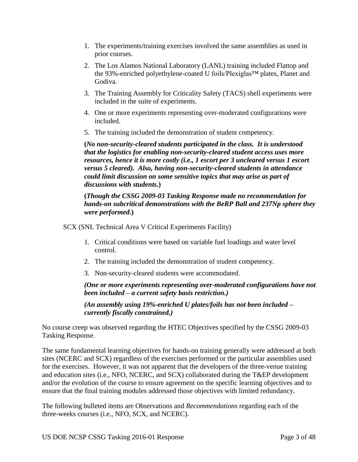- 1. The experiments/training exercises involved the same assemblies as used in prior courses.
- 2. The Los Alamos National Laboratory (LANL) training included Flattop and the 93%-enriched polyethylene-coated U foils/Plexiglas™ plates, Planet and Godiva.
- 3. The Training Assembly for Criticality Safety (TACS) shell experiments were included in the suite of experiments.
- 4. One or more experiments representing over-moderated configurations were included.
- 5. The training included the demonstration of student competency.

**(***No non-security-cleared students participated in the class. It is understood that the logistics for enabling non-security-cleared student access uses more resources, hence it is more costly (i.e., 1 escort per 3 uncleared versus 1 escort versus 5 cleared). Also, having non-security-cleared students in attendance could limit discussion on some sensitive topics that may arise as part of discussions with students.***)**

# **(***Though the CSSG 2009-03 Tasking Response made no recommendation for hands-on subcritical demonstrations with the BeRP Ball and 237Np sphere they were performed***.)**

SCX (SNL Technical Area V Critical Experiments Facility)

- 1. Critical conditions were based on variable fuel loadings and water level control.
- 2. The training included the demonstration of student competency.
- 3. Non-security-cleared students were accommodated.

*(One or more experiments representing over-moderated configurations have not been included – a current safety basis restriction.)*

*(An assembly using 19%-enriched U plates/foils has not been included – currently fiscally constrained.)*

No course creep was observed regarding the HTEC Objectives specified by the CSSG 2009-03 Tasking Response.

The same fundamental learning objectives for hands-on training generally were addressed at both sites (NCERC and SCX) regardless of the exercises performed or the particular assemblies used for the exercises. However, it was not apparent that the developers of the three-venue training and education sites (i.e., NFO, NCERC, and SCX) collaborated during the T&EP development and/or the evolution of the course to ensure agreement on the specific learning objectives and to ensure that the final training modules addressed those objectives with limited redundancy.

The following bulleted items are Observations and *Recommendations* regarding each of the three-weeks courses (i.e., NFO, SCX, and NCERC).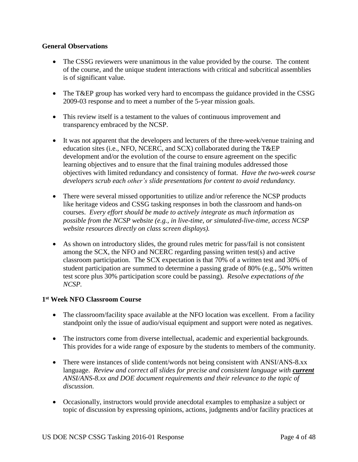## **General Observations**

- The CSSG reviewers were unanimous in the value provided by the course. The content of the course, and the unique student interactions with critical and subcritical assemblies is of significant value.
- The T&EP group has worked very hard to encompass the guidance provided in the CSSG 2009-03 response and to meet a number of the 5-year mission goals.
- This review itself is a testament to the values of continuous improvement and transparency embraced by the NCSP.
- It was not apparent that the developers and lecturers of the three-week/venue training and education sites (i.e., NFO, NCERC, and SCX) collaborated during the T&EP development and/or the evolution of the course to ensure agreement on the specific learning objectives and to ensure that the final training modules addressed those objectives with limited redundancy and consistency of format. *Have the two-week course developers scrub each other's slide presentations for content to avoid redundancy.*
- There were several missed opportunities to utilize and/or reference the NCSP products like heritage videos and CSSG tasking responses in both the classroom and hands-on courses. *Every effort should be made to actively integrate as much information as possible from the NCSP website (e.g., in live-time, or simulated-live-time, access NCSP website resources directly on class screen displays).*
- As shown on introductory slides, the ground rules metric for pass/fail is not consistent among the SCX, the NFO and NCERC regarding passing written test(s) and active classroom participation. The SCX expectation is that 70% of a written test and 30% of student participation are summed to determine a passing grade of 80% (e.g., 50% written test score plus 30% participation score could be passing). *Resolve expectations of the NCSP.*

# **1 st Week NFO Classroom Course**

- The classroom/facility space available at the NFO location was excellent. From a facility standpoint only the issue of audio/visual equipment and support were noted as negatives.
- The instructors come from diverse intellectual, academic and experiential backgrounds. This provides for a wide range of exposure by the students to members of the community.
- There were instances of slide content/words not being consistent with ANSI/ANS-8.xx language. *Review and correct all slides for precise and consistent language with current ANSI/ANS-8.xx and DOE document requirements and their relevance to the topic of discussion.*
- Occasionally, instructors would provide anecdotal examples to emphasize a subject or topic of discussion by expressing opinions, actions, judgments and/or facility practices at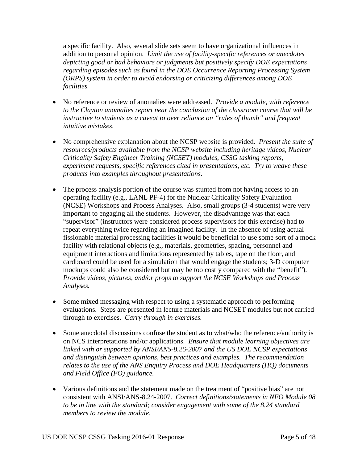a specific facility. Also, several slide sets seem to have organizational influences in addition to personal opinion. *Limit the use of facility-specific references or anecdotes depicting good or bad behaviors or judgments but positively specify DOE expectations regarding episodes such as found in the DOE Occurrence Reporting Processing System (ORPS) system in order to avoid endorsing or criticizing differences among DOE facilities.*

- No reference or review of anomalies were addressed. *Provide a module, with reference to the Clayton anomalies report near the conclusion of the classroom course that will be instructive to students as a caveat to over reliance on "rules of thumb" and frequent intuitive mistakes*.
- No comprehensive explanation about the NCSP website is provided. *Present the suite of resources/products available from the NCSP website including heritage videos, Nuclear Criticality Safety Engineer Training (NCSET) modules, CSSG tasking reports, experiment requests, specific references cited in presentations, etc. Try to weave these products into examples throughout presentations*.
- The process analysis portion of the course was stunted from not having access to an operating facility (e.g., LANL PF-4) for the Nuclear Criticality Safety Evaluation (NCSE) Workshops and Process Analyses. Also, small groups (3-4 students) were very important to engaging all the students. However, the disadvantage was that each "supervisor" (instructors were considered process supervisors for this exercise) had to repeat everything twice regarding an imagined facility. In the absence of using actual fissionable material processing facilities it would be beneficial to use some sort of a mock facility with relational objects (e.g., materials, geometries, spacing, personnel and equipment interactions and limitations represented by tables, tape on the floor, and cardboard could be used for a simulation that would engage the students; 3-D computer mockups could also be considered but may be too costly compared with the "benefit"). *Provide videos, pictures, and/or props to support the NCSE Workshops and Process Analyses.*
- Some mixed messaging with respect to using a systematic approach to performing evaluations. Steps are presented in lecture materials and NCSET modules but not carried through to exercises. *Carry through in exercises.*
- Some anecdotal discussions confuse the student as to what/who the reference/authority is on NCS interpretations and/or applications. *Ensure that module learning objectives are linked with or supported by ANSI/ANS-8.26-2007 and the US DOE NCSP expectations and distinguish between opinions, best practices and examples. The recommendation relates to the use of the ANS Enquiry Process and DOE Headquarters (HQ) documents and Field Office (FO) guidance.*
- Various definitions and the statement made on the treatment of "positive bias" are not consistent with ANSI/ANS-8.24-2007. *Correct definitions/statements in NFO Module 08 to be in line with the standard; consider engagement with some of the 8.24 standard members to review the module*.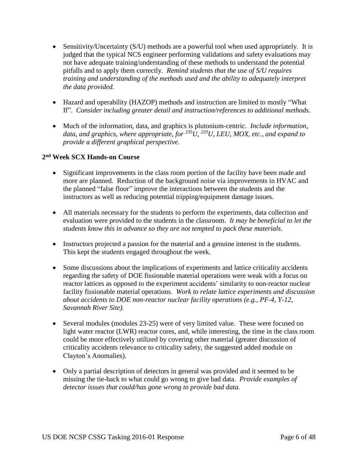- Sensitivity/Uncertainty (S/U) methods are a powerful tool when used appropriately. It is judged that the typical NCS engineer performing validations and safety evaluations may not have adequate training/understanding of these methods to understand the potential pitfalls and to apply them correctly*. Remind students that the use of S/U requires training and understanding of the methods used and the ability to adequately interpret the data provided.*
- Hazard and operability (HAZOP) methods and instruction are limited to mostly "What If". *Consider including greater detail and instruction/references to additional methods*.
- Much of the information, data, and graphics is plutonium-centric. *Include information, data, and graphics, where appropriate, for <sup>235</sup>U, <sup>233</sup>U, LEU, MOX, etc., and expand to provide a different graphical perspective*.

# **2 nd Week SCX Hands-on Course**

- Significant improvements in the class room portion of the facility have been made and more are planned. Reduction of the background noise via improvements in HVAC and the planned "false floor" improve the interactions between the students and the instructors as well as reducing potential tripping/equipment damage issues.
- All materials necessary for the students to perform the experiments, data collection and evaluation were provided to the students in the classroom. *It may be beneficial to let the students know this in advance so they are not tempted to pack these materials.*
- Instructors projected a passion for the material and a genuine interest in the students. This kept the students engaged throughout the week.
- Some discussions about the implications of experiments and lattice criticality accidents regarding the safety of DOE fissionable material operations were weak with a focus on reactor lattices as opposed to the experiment accidents' similarity to non-reactor nuclear facility fissionable material operations. *Work to relate lattice experiments and discussion about accidents to DOE non-reactor nuclear facility operations (e.g., PF-4, Y-12, Savannah River Site).*
- Several modules (modules 23-25) were of very limited value. These were focused on light water reactor (LWR) reactor cores, and, while interesting, the time in the class room could be more effectively utilized by covering other material (greater discussion of criticality accidents relevance to criticality safety, the suggested added module on Clayton's Anomalies).
- Only a partial description of detectors in general was provided and it seemed to be missing the tie-back to what could go wrong to give bad data. *Provide examples of detector issues that could/has gone wrong to provide bad data.*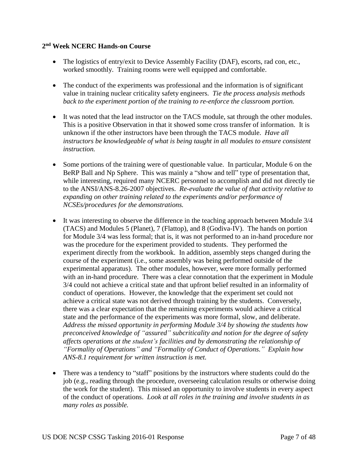#### **2 nd Week NCERC Hands-on Course**

- The logistics of entry/exit to Device Assembly Facility (DAF), escorts, rad con, etc., worked smoothly. Training rooms were well equipped and comfortable.
- The conduct of the experiments was professional and the information is of significant value in training nuclear criticality safety engineers. *Tie the process analysis methods back to the experiment portion of the training to re-enforce the classroom portion.*
- It was noted that the lead instructor on the TACS module, sat through the other modules. This is a positive Observation in that it showed some cross transfer of information. It is unknown if the other instructors have been through the TACS module. *Have all instructors be knowledgeable of what is being taught in all modules to ensure consistent instruction.*
- Some portions of the training were of questionable value. In particular, Module 6 on the BeRP Ball and Np Sphere. This was mainly a "show and tell" type of presentation that, while interesting, required many NCERC personnel to accomplish and did not directly tie to the ANSI/ANS-8.26-2007 objectives. *Re-evaluate the value of that activity relative to expanding on other training related to the experiments and/or performance of NCSEs/procedures for the demonstrations.*
- It was interesting to observe the difference in the teaching approach between Module 3/4 (TACS) and Modules 5 (Planet), 7 (Flattop), and 8 (Godiva-IV). The hands on portion for Module 3/4 was less formal; that is, it was not performed to an in-hand procedure nor was the procedure for the experiment provided to students. They performed the experiment directly from the workbook. In addition, assembly steps changed during the course of the experiment (i.e., some assembly was being performed outside of the experimental apparatus). The other modules, however, were more formally performed with an in-hand procedure. There was a clear connotation that the experiment in Module 3/4 could not achieve a critical state and that upfront belief resulted in an informality of conduct of operations. However, the knowledge that the experiment set could not achieve a critical state was not derived through training by the students. Conversely, there was a clear expectation that the remaining experiments would achieve a critical state and the performance of the experiments was more formal, slow, and deliberate. *Address the missed opportunity in performing Module 3/4 by showing the students how preconceived knowledge of "assured" subcriticality and notion for the degree of safety affects operations at the student's facilities and by demonstrating the relationship of "Formality of Operations" and "Formality of Conduct of Operations." Explain how ANS-8.1 requirement for written instruction is met.*
- There was a tendency to "staff" positions by the instructors where students could do the job (e.g., reading through the procedure, overseeing calculation results or otherwise doing the work for the student). This missed an opportunity to involve students in every aspect of the conduct of operations. *Look at all roles in the training and involve students in as many roles as possible.*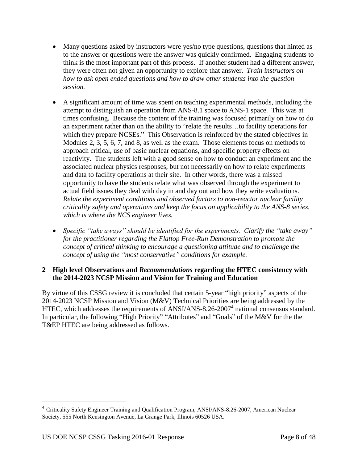- Many questions asked by instructors were yes/no type questions, questions that hinted as to the answer or questions were the answer was quickly confirmed. Engaging students to think is the most important part of this process. If another student had a different answer, they were often not given an opportunity to explore that answer. *Train instructors on how to ask open ended questions and how to draw other students into the question session.*
- A significant amount of time was spent on teaching experimental methods, including the attempt to distinguish an operation from ANS-8.1 space to ANS-1 space. This was at times confusing. Because the content of the training was focused primarily on how to do an experiment rather than on the ability to "relate the results…to facility operations for which they prepare NCSEs." This Observation is reinforced by the stated objectives in Modules 2, 3, 5, 6, 7, and 8, as well as the exam. Those elements focus on methods to approach critical, use of basic nuclear equations, and specific property effects on reactivity. The students left with a good sense on how to conduct an experiment and the associated nuclear physics responses, but not necessarily on how to relate experiments and data to facility operations at their site. In other words, there was a missed opportunity to have the students relate what was observed through the experiment to actual field issues they deal with day in and day out and how they write evaluations. *Relate the experiment conditions and observed factors to non-reactor nuclear facility criticality safety and operations and keep the focus on applicability to the ANS-8 series, which is where the NCS engineer lives.*
- *Specific "take aways" should be identified for the experiments. Clarify the "take away" for the practitioner regarding the Flattop Free-Run Demonstration to promote the concept of critical thinking to encourage a questioning attitude and to challenge the concept of using the "most conservative" conditions for example.*

# **2 High level Observations and** *Recommendations* **regarding the HTEC consistency with the 2014-2023 NCSP Mission and Vision for Training and Education**

By virtue of this CSSG review it is concluded that certain 5-year "high priority" aspects of the 2014-2023 NCSP Mission and Vision (M&V) Technical Priorities are being addressed by the HTEC, which addresses the requirements of ANSI/ANS-8.26-2007<sup>4</sup> national consensus standard. In particular, the following "High Priority" "Attributes" and "Goals" of the M&V for the the T&EP HTEC are being addressed as follows.

 $\overline{a}$ 

<sup>&</sup>lt;sup>4</sup> Criticality Safety Engineer Training and Qualification Program, ANSI/ANS-8.26-2007, American Nuclear Society, 555 North Kensington Avenue, La Grange Park, Illinois 60526 USA.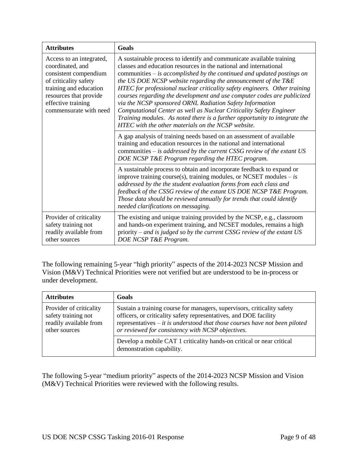| <b>Attributes</b>                                                                                                                                                                                  | Goals                                                                                                                                                                                                                                                                                                                                                                                                                                                                                                                                                                                                                                                                                                                  |
|----------------------------------------------------------------------------------------------------------------------------------------------------------------------------------------------------|------------------------------------------------------------------------------------------------------------------------------------------------------------------------------------------------------------------------------------------------------------------------------------------------------------------------------------------------------------------------------------------------------------------------------------------------------------------------------------------------------------------------------------------------------------------------------------------------------------------------------------------------------------------------------------------------------------------------|
| Access to an integrated,<br>coordinated, and<br>consistent compendium<br>of criticality safety<br>training and education<br>resources that provide<br>effective training<br>commensurate with need | A sustainable process to identify and communicate available training<br>classes and education resources in the national and international<br>communities $-$ is accomplished by the continued and updated postings on<br>the US DOE NCSP website regarding the announcement of the T&E<br>HTEC for professional nuclear criticality safety engineers. Other training<br>courses regarding the development and use computer codes are publicized<br>via the NCSP sponsored ORNL Radiation Safety Information<br>Computational Center as well as Nuclear Criticality Safety Engineer<br>Training modules. As noted there is a further opportunity to integrate the<br>HTEC with the other materials on the NCSP website. |
|                                                                                                                                                                                                    | A gap analysis of training needs based on an assessment of available<br>training and education resources in the national and international<br>communities $-$ is addressed by the current CSSG review of the extant US<br>DOE NCSP T&E Program regarding the HTEC program.                                                                                                                                                                                                                                                                                                                                                                                                                                             |
|                                                                                                                                                                                                    | A sustainable process to obtain and incorporate feedback to expand or<br>improve training course(s), training modules, or NCSET modules $-$ is<br>addressed by the the student evaluation forms from each class and<br>feedback of the CSSG review of the extant US DOE NCSP T&E Program.<br>Those data should be reviewed annually for trends that could identify<br>needed clarifications on messaging.                                                                                                                                                                                                                                                                                                              |
| Provider of criticality<br>safety training not<br>readily available from<br>other sources                                                                                                          | The existing and unique training provided by the NCSP, e.g., classroom<br>and hands-on experiment training, and NCSET modules, remains a high<br>priority – and is judged so by the current CSSG review of the extant $US$<br>DOE NCSP T&E Program.                                                                                                                                                                                                                                                                                                                                                                                                                                                                    |

The following remaining 5-year "high priority" aspects of the 2014-2023 NCSP Mission and Vision (M&V) Technical Priorities were not verified but are understood to be in-process or under development.

| <b>Attributes</b>                                                                         | Goals                                                                                                                                                                                                                                                                                     |
|-------------------------------------------------------------------------------------------|-------------------------------------------------------------------------------------------------------------------------------------------------------------------------------------------------------------------------------------------------------------------------------------------|
| Provider of criticality<br>safety training not<br>readily available from<br>other sources | Sustain a training course for managers, supervisors, criticality safety<br>officers, or criticality safety representatives, and DOE facility<br>representatives $-$ <i>it is understood that those courses have not been piloted</i><br>or reviewed for consistency with NCSP objectives. |
|                                                                                           | Develop a mobile CAT 1 criticality hands-on critical or near critical<br>demonstration capability.                                                                                                                                                                                        |

The following 5-year "medium priority" aspects of the 2014-2023 NCSP Mission and Vision (M&V) Technical Priorities were reviewed with the following results.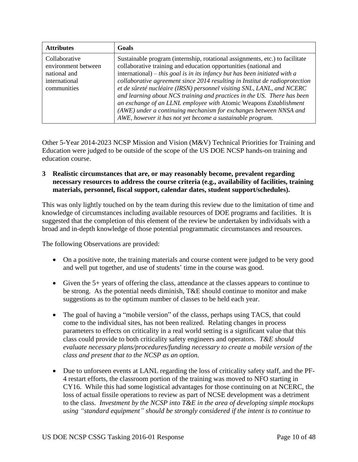| <b>Attributes</b>                                                                    | Goals                                                                                                                                                                                                                                                                                                                                                                                                                                                                                                                                                                                                                                                                    |
|--------------------------------------------------------------------------------------|--------------------------------------------------------------------------------------------------------------------------------------------------------------------------------------------------------------------------------------------------------------------------------------------------------------------------------------------------------------------------------------------------------------------------------------------------------------------------------------------------------------------------------------------------------------------------------------------------------------------------------------------------------------------------|
| Collaborative<br>environment between<br>national and<br>international<br>communities | Sustainable program (internship, rotational assignments, etc.) to facilitate<br>collaborative training and education opportunities (national and<br>international) – this goal is in its infancy but has been initiated with a<br>collaborative agreement since 2014 resulting in Institut de radioprotection<br>et de sûreté nucléaire (IRSN) personnel visiting SNL, LANL, and NCERC<br>and learning about NCS training and practices in the US. There has been<br>an exchange of an LLNL employee with Atomic Weapons Establishment<br>(AWE) under a continuing mechanism for exchanges between NNSA and<br>AWE, however it has not yet become a sustainable program. |

Other 5-Year 2014-2023 NCSP Mission and Vision (M&V) Technical Priorities for Training and Education were judged to be outside of the scope of the US DOE NCSP hands-on training and education course.

**3 Realistic circumstances that are, or may reasonably become, prevalent regarding necessary resources to address the course criteria (e.g., availability of facilities, training materials, personnel, fiscal support, calendar dates, student support/schedules).**

This was only lightly touched on by the team during this review due to the limitation of time and knowledge of circumstances including available resources of DOE programs and facilities. It is suggested that the completion of this element of the review be undertaken by individuals with a broad and in-depth knowledge of those potential programmatic circumstances and resources.

The following Observations are provided:

- On a positive note, the training materials and course content were judged to be very good and well put together, and use of students' time in the course was good.
- Given the 5+ years of offering the class, attendance at the classes appears to continue to be strong. As the potential needs diminish, T&E should continue to monitor and make suggestions as to the optimum number of classes to be held each year.
- The goal of having a "mobile version" of the classs, perhaps using TACS, that could come to the individual sites, has not been realized. Relating changes in process parameters to effects on criticality in a real world setting is a significant value that this class could provide to both criticality safety engineers and operators. *T&E should evaluate necessary plans/procedures/funding necessary to create a mobile version of the class and present that to the NCSP as an option.*
- Due to unforseen events at LANL regarding the loss of criticality safety staff, and the PF-4 restart efforts, the classroom portion of the training was moved to NFO starting in CY16. While this had some logistical advantages for those continuing on at NCERC, the loss of actual fissile operations to review as part of NCSE development was a detriment to the class. *Investment by the NCSP into T&E in the area of developing simple mockups using "standard equipment" should be strongly considered if the intent is to continue to*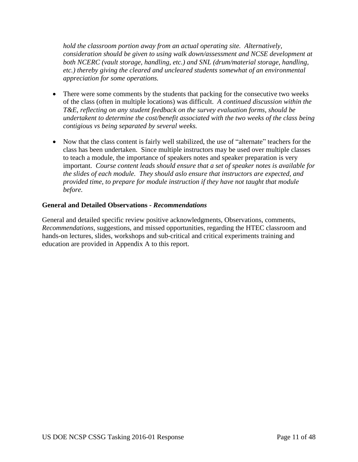*hold the classroom portion away from an actual operating site. Alternatively, consideration should be given to using walk down/assessment and NCSE development at both NCERC (vault storage, handling, etc.) and SNL (drum/material storage, handling, etc.) thereby giving the cleared and uncleared students somewhat of an environmental appreciation for some operations.*

- There were some comments by the students that packing for the consecutive two weeks of the class (often in multiple locations) was difficult. *A continued discussion within the T&E, reflecting on any student feedback on the survey evaluation forms, should be undertakent to determine the cost/benefit associated with the two weeks of the class being contigious vs being separated by several weeks.*
- Now that the class content is fairly well stabilized, the use of "alternate" teachers for the class has been undertaken. Since multiple instructors may be used over multiple classes to teach a module, the importance of speakers notes and speaker preparation is very important. *Course content leads should ensure that a set of speaker notes is available for the slides of each module. They should aslo ensure that instructors are expected, and provided time, to prepare for module instruction if they have not taught that module before.*

## **General and Detailed Observations -** *Recommendations*

General and detailed specific review positive acknowledgments, Observations, comments, *Recommendations*, suggestions, and missed opportunities, regarding the HTEC classroom and hands-on lectures, slides, workshops and sub-critical and critical experiments training and education are provided in Appendix A to this report.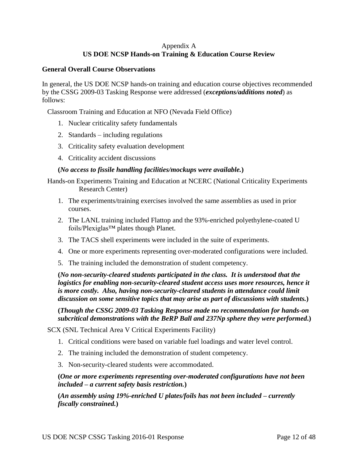# Appendix A **US DOE NCSP Hands-on Training & Education Course Review**

#### **General Overall Course Observations**

In general, the US DOE NCSP hands-on training and education course objectives recommended by the CSSG 2009-03 Tasking Response were addressed (*exceptions/additions noted*) as follows:

Classroom Training and Education at NFO (Nevada Field Office)

- 1. Nuclear criticality safety fundamentals
- 2. Standards including regulations
- 3. Criticality safety evaluation development
- 4. Criticality accident discussions

## **(***No access to fissile handling facilities/mockups were available.***)**

Hands-on Experiments Training and Education at NCERC (National Criticality Experiments Research Center)

- 1. The experiments/training exercises involved the same assemblies as used in prior courses.
- 2. The LANL training included Flattop and the 93%-enriched polyethylene-coated U foils/Plexiglas™ plates though Planet.
- 3. The TACS shell experiments were included in the suite of experiments.
- 4. One or more experiments representing over-moderated configurations were included.
- 5. The training included the demonstration of student competency.

**(***No non-security-cleared students participated in the class. It is understood that the logistics for enabling non-security-cleared student access uses more resources, hence it is more costly. Also, having non-security-cleared students in attendance could limit discussion on some sensitive topics that may arise as part of discussions with students.***)**

**(***Though the CSSG 2009-03 Tasking Response made no recommendation for hands-on subcritical demonstrations with the BeRP Ball and 237Np sphere they were performed***.)**

SCX (SNL Technical Area V Critical Experiments Facility)

- 1. Critical conditions were based on variable fuel loadings and water level control.
- 2. The training included the demonstration of student competency.
- 3. Non-security-cleared students were accommodated.

**(***One or more experiments representing over-moderated configurations have not been included – a current safety basis restriction.***)**

**(***An assembly using 19%-enriched U plates/foils has not been included – currently fiscally constrained.***)**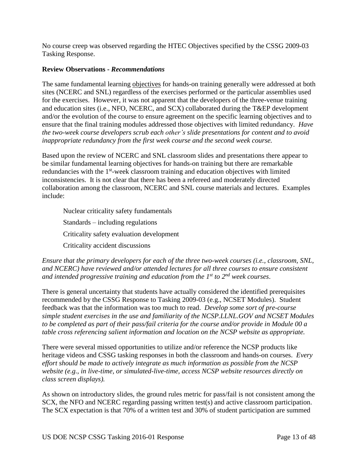No course creep was observed regarding the HTEC Objectives specified by the CSSG 2009-03 Tasking Response.

## **Review Observations -** *Recommendations*

The same fundamental learning objectives for hands-on training generally were addressed at both sites (NCERC and SNL) regardless of the exercises performed or the particular assemblies used for the exercises. However, it was not apparent that the developers of the three-venue training and education sites (i.e., NFO, NCERC, and SCX) collaborated during the T&EP development and/or the evolution of the course to ensure agreement on the specific learning objectives and to ensure that the final training modules addressed those objectives with limited redundancy. *Have the two-week course developers scrub each other's slide presentations for content and to avoid inappropriate redundancy from the first week course and the second week course.*

Based upon the review of NCERC and SNL classroom slides and presentations there appear to be similar fundamental learning objectives for hands-on training but there are remarkable redundancies with the 1<sup>st</sup>-week classroom training and education objectives with limited inconsistencies. It is not clear that there has been a refereed and moderately directed collaboration among the classroom, NCERC and SNL course materials and lectures. Examples include:

Nuclear criticality safety fundamentals Standards – including regulations Criticality safety evaluation development Criticality accident discussions

## *Ensure that the primary developers for each of the three two-week courses (i.e., classroom, SNL, and NCERC) have reviewed and/or attended lectures for all three courses to ensure consistent and intended progressive training and education from the 1 st to 2 nd week courses*.

There is general uncertainty that students have actually considered the identified prerequisites recommended by the CSSG Response to Tasking 2009-03 (e.g., NCSET Modules). Student feedback was that the information was too much to read. *Develop some sort of pre-course simple student exercises in the use and familiarity of the NCSP.LLNL.GOV and NCSET Modules to be completed as part of their pass/fail criteria for the course and/or provide in Module 00 a table cross referencing salient information and location on the NCSP website as appropriate.*

There were several missed opportunities to utilize and/or reference the NCSP products like heritage videos and CSSG tasking responses in both the classroom and hands-on courses. *Every effort should be made to actively integrate as much information as possible from the NCSP website (e.g., in live-time, or simulated-live-time, access NCSP website resources directly on class screen displays).*

As shown on introductory slides, the ground rules metric for pass/fail is not consistent among the SCX, the NFO and NCERC regarding passing written test(s) and active classroom participation. The SCX expectation is that 70% of a written test and 30% of student participation are summed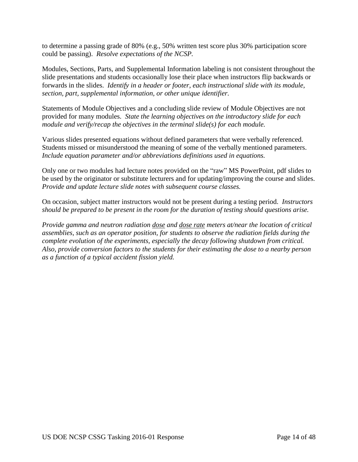to determine a passing grade of 80% (e.g., 50% written test score plus 30% participation score could be passing). *Resolve expectations of the NCSP.*

Modules, Sections, Parts, and Supplemental Information labeling is not consistent throughout the slide presentations and students occasionally lose their place when instructors flip backwards or forwards in the slides. *Identify in a header or footer, each instructional slide with its module, section, part, supplemental information, or other unique identifier.*

Statements of Module Objectives and a concluding slide review of Module Objectives are not provided for many modules. *State the learning objectives on the introductory slide for each module and verify/recap the objectives in the terminal slide(s) for each module.*

Various slides presented equations without defined parameters that were verbally referenced. Students missed or misunderstood the meaning of some of the verbally mentioned parameters. *Include equation parameter and/or abbreviations definitions used in equations.*

Only one or two modules had lecture notes provided on the "raw" MS PowerPoint, pdf slides to be used by the originator or substitute lecturers and for updating/improving the course and slides. *Provide and update lecture slide notes with subsequent course classes.*

On occasion, subject matter instructors would not be present during a testing period. *Instructors should be prepared to be present in the room for the duration of testing should questions arise.*

*Provide gamma and neutron radiation dose and dose rate meters at/near the location of critical assemblies, such as an operator position, for students to observe the radiation fields during the complete evolution of the experiments, especially the decay following shutdown from critical. Also, provide conversion factors to the students for their estimating the dose to a nearby person as a function of a typical accident fission yield.*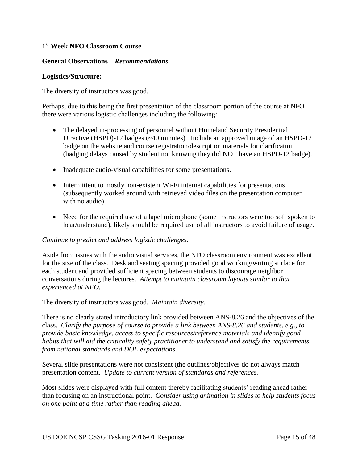## **1 st Week NFO Classroom Course**

#### **General Observations –** *Recommendations*

#### **Logistics/Structure:**

The diversity of instructors was good.

Perhaps, due to this being the first presentation of the classroom portion of the course at NFO there were various logistic challenges including the following:

- The delayed in-processing of personnel without Homeland Security Presidential Directive (HSPD)-12 badges (~40 minutes). Include an approved image of an HSPD-12 badge on the website and course registration/description materials for clarification (badging delays caused by student not knowing they did NOT have an HSPD-12 badge).
- Inadequate audio-visual capabilities for some presentations.
- Intermittent to mostly non-existent Wi-Fi internet capabilities for presentations (subsequently worked around with retrieved video files on the presentation computer with no audio).
- Need for the required use of a lapel microphone (some instructors were too soft spoken to hear/understand), likely should be required use of all instructors to avoid failure of usage.

#### *Continue to predict and address logistic challenges.*

Aside from issues with the audio visual services, the NFO classroom environment was excellent for the size of the class. Desk and seating spacing provided good working/writing surface for each student and provided sufficient spacing between students to discourage neighbor conversations during the lectures. *Attempt to maintain classroom layouts similar to that experienced at NFO.*

The diversity of instructors was good. *Maintain diversity.*

There is no clearly stated introductory link provided between ANS-8.26 and the objectives of the class. *Clarify the purpose of course to provide a link between ANS-8.26 and students, e.g., to provide basic knowledge, access to specific resources/reference materials and identify good habits that will aid the criticality safety practitioner to understand and satisfy the requirements from national standards and DOE expectations*.

Several slide presentations were not consistent (the outlines/objectives do not always match presentation content. *Update to current version of standards and references.*

Most slides were displayed with full content thereby facilitating students' reading ahead rather than focusing on an instructional point. *Consider using animation in slides to help students focus on one point at a time rather than reading ahead.*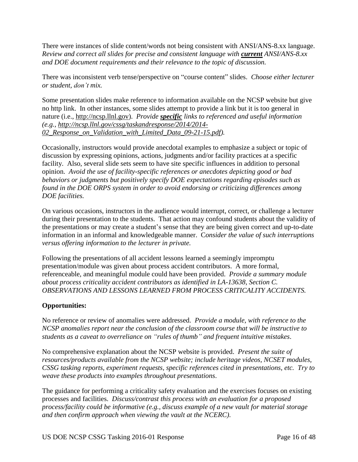There were instances of slide content/words not being consistent with ANSI/ANS-8.xx language. *Review and correct all slides for precise and consistent language with current ANSI/ANS-8.xx and DOE document requirements and their relevance to the topic of discussion.*

There was inconsistent verb tense/perspective on "course content" slides. *Choose either lecturer or student, don't mix.*

Some presentation slides make reference to information available on the NCSP website but give no http link. In other instances, some slides attempt to provide a link but it is too general in nature (i.e., [http://ncsp.llnl.gov\)](http://ncsp.llnl.gov/). *Provide specific links to referenced and useful information (e.g., [http://ncsp.llnl.gov/cssg/taskandresponse/2014/2014-](http://ncsp.llnl.gov/cssg/taskandresponse/2014/2014-02_Response_on_Validation_with_Limited_Data_09-21-15.pdf) [02\\_Response\\_on\\_Validation\\_with\\_Limited\\_Data\\_09-21-15.pdf\)](http://ncsp.llnl.gov/cssg/taskandresponse/2014/2014-02_Response_on_Validation_with_Limited_Data_09-21-15.pdf).*

Occasionally, instructors would provide anecdotal examples to emphasize a subject or topic of discussion by expressing opinions, actions, judgments and/or facility practices at a specific facility. Also, several slide sets seem to have site specific influences in addition to personal opinion. *Avoid the use of facility-specific references or anecdotes depicting good or bad behaviors or judgments but positively specify DOE expectations regarding episodes such as found in the DOE ORPS system in order to avoid endorsing or criticizing differences among DOE facilities.*

On various occasions, instructors in the audience would interrupt, correct, or challenge a lecturer during their presentation to the students. That action may confound students about the validity of the presentations or may create a student's sense that they are being given correct and up-to-date information in an informal and knowledgeable manner. C*onsider the value of such interruptions versus offering information to the lecturer in private.*

Following the presentations of all accident lessons learned a seemingly impromptu presentation/module was given about process accident contributors. A more formal, referenceable, and meaningful module could have been provided. *Provide a summary module about process criticality accident contributors as identified in LA-13638, Section C. OBSERVATIONS AND LESSONS LEARNED FROM PROCESS CRITICALITY ACCIDENTS.*

# **Opportunities:**

No reference or review of anomalies were addressed. *Provide a module, with reference to the NCSP anomalies report near the conclusion of the classroom course that will be instructive to students as a caveat to overreliance on "rules of thumb" and frequent intuitive mistakes*.

No comprehensive explanation about the NCSP website is provided. *Present the suite of resources/products available from the NCSP website; include heritage videos, NCSET modules, CSSG tasking reports, experiment requests, specific references cited in presentations, etc. Try to weave these products into examples throughout presentations*.

The guidance for performing a criticality safety evaluation and the exercises focuses on existing processes and facilities. *Discuss/contrast this process with an evaluation for a proposed process/facility could be informative (e.g., discuss example of a new vault for material storage and then confirm approach when viewing the vault at the NCERC)*.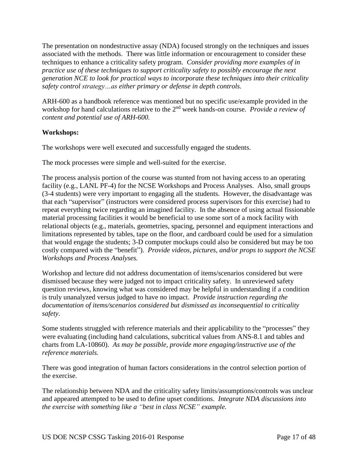The presentation on nondestructive assay (NDA) focused strongly on the techniques and issues associated with the methods. There was little information or encouragement to consider these techniques to enhance a criticality safety program. *Consider providing more examples of in practice use of these techniques to support criticality safety to possibly encourage the next generation NCE to look for practical ways to incorporate these techniques into their criticality safety control strategy…as either primary or defense in depth controls.*

ARH-600 as a handbook reference was mentioned but no specific use/example provided in the workshop for hand calculations relative to the 2<sup>nd</sup> week hands-on course. *Provide a review of content and potential use of ARH-600.*

# **Workshops:**

The workshops were well executed and successfully engaged the students.

The mock processes were simple and well-suited for the exercise.

The process analysis portion of the course was stunted from not having access to an operating facility (e.g., LANL PF-4) for the NCSE Workshops and Process Analyses. Also, small groups (3-4 students) were very important to engaging all the students. However, the disadvantage was that each "supervisor" (instructors were considered process supervisors for this exercise) had to repeat everything twice regarding an imagined facility. In the absence of using actual fissionable material processing facilities it would be beneficial to use some sort of a mock facility with relational objects (e.g., materials, geometries, spacing, personnel and equipment interactions and limitations represented by tables, tape on the floor, and cardboard could be used for a simulation that would engage the students; 3-D computer mockups could also be considered but may be too costly compared with the "benefit"). *Provide videos, pictures, and/or props to support the NCSE Workshops and Process Analyses.*

Workshop and lecture did not address documentation of items/scenarios considered but were dismissed because they were judged not to impact criticality safety. In unreviewed safety question reviews, knowing what was considered may be helpful in understanding if a condition is truly unanalyzed versus judged to have no impact. *Provide instruction regarding the documentation of items/scenarios considered but dismissed as inconsequential to criticality safety*.

Some students struggled with reference materials and their applicability to the "processes" they were evaluating (including hand calculations, subcritical values from ANS-8.1 and tables and charts from LA-10860). *As may be possible, provide more engaging/instructive use of the reference materials.* 

There was good integration of human factors considerations in the control selection portion of the exercise.

The relationship between NDA and the criticality safety limits/assumptions/controls was unclear and appeared attempted to be used to define upset conditions. *Integrate NDA discussions into the exercise with something like a "best in class NCSE" example.*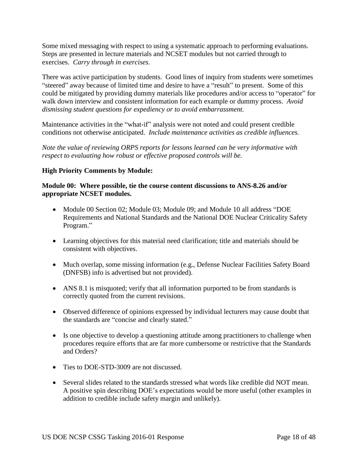Some mixed messaging with respect to using a systematic approach to performing evaluations. Steps are presented in lecture materials and NCSET modules but not carried through to exercises. *Carry through in exercises.*

There was active participation by students. Good lines of inquiry from students were sometimes "steered" away because of limited time and desire to have a "result" to present. Some of this could be mitigated by providing dummy materials like procedures and/or access to "operator" for walk down interview and consistent information for each example or dummy process. *Avoid dismissing student questions for expediency or to avoid embarrassment.*

Maintenance activities in the "what-if" analysis were not noted and could present credible conditions not otherwise anticipated. *Include maintenance activities as credible influences.*

*Note the value of reviewing ORPS reports for lessons learned can be very informative with respect to evaluating how robust or effective proposed controls will be.*

# **High Priority Comments by Module:**

## **Module 00: Where possible, tie the course content discussions to ANS-8.26 and/or appropriate NCSET modules.**

- Module 00 Section 02; Module 03; Module 09; and Module 10 all address "DOE Requirements and National Standards and the National DOE Nuclear Criticality Safety Program."
- Learning objectives for this material need clarification; title and materials should be consistent with objectives.
- Much overlap, some missing information (e.g., Defense Nuclear Facilities Safety Board (DNFSB) info is advertised but not provided).
- ANS 8.1 is misquoted; verify that all information purported to be from standards is correctly quoted from the current revisions.
- Observed difference of opinions expressed by individual lecturers may cause doubt that the standards are "concise and clearly stated."
- Is one objective to develop a questioning attitude among practitioners to challenge when procedures require efforts that are far more cumbersome or restrictive that the Standards and Orders?
- Ties to DOE-STD-3009 are not discussed.
- Several slides related to the standards stressed what words like credible did NOT mean. A positive spin describing DOE's expectations would be more useful (other examples in addition to credible include safety margin and unlikely).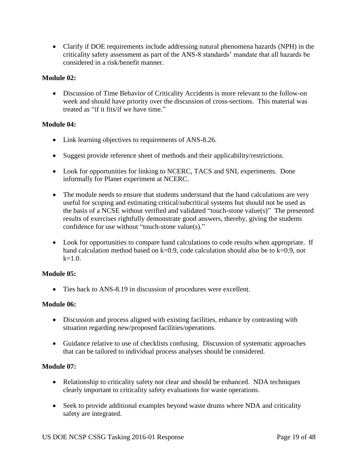Clarify if DOE requirements include addressing natural phenomena hazards (NPH) in the criticality safety assessment as part of the ANS-8 standards' mandate that all hazards be considered in a risk/benefit manner.

# **Module 02:**

 Discussion of Time Behavior of Criticality Accidents is more relevant to the follow-on week and should have priority over the discussion of cross-sections. This material was treated as "if it fits/if we have time."

## **Module 04:**

- Link learning objectives to requirements of ANS-8.26.
- Suggest provide reference sheet of methods and their applicability/restrictions.
- Look for opportunities for linking to NCERC, TACS and SNL experiments. Done informally for Planet experiment at NCERC.
- The module needs to ensure that students understand that the hand calculations are very useful for scoping and estimating critical/subcritical systems but should not be used as the basis of a NCSE without verified and validated "touch-stone value(s)" The presented results of exercises rightfully demonstrate good answers, thereby, giving the students confidence for use without "touch-stone value(s)."
- Look for opportunities to compare hand calculations to code results when appropriate. If hand calculation method based on k=0.9, code calculation should also be to k=0.9, not  $k=1.0$ .

# **Module 05:**

Ties back to ANS-8.19 in discussion of procedures were excellent.

#### **Module 06:**

- Discussion and process aligned with existing facilities, enhance by contrasting with situation regarding new/proposed facilities/operations.
- Guidance relative to use of checklists confusing. Discussion of systematic approaches that can be tailored to individual process analyses should be considered.

#### **Module 07:**

- Relationship to criticality safety not clear and should be enhanced. NDA techniques clearly important to criticality safety evaluations for waste operations.
- Seek to provide additional examples beyond waste drums where NDA and criticality safety are integrated.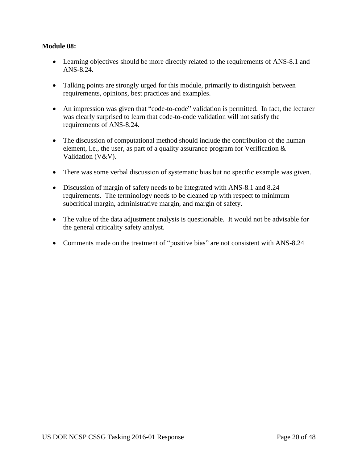## **Module 08:**

- Learning objectives should be more directly related to the requirements of ANS-8.1 and ANS-8.24.
- Talking points are strongly urged for this module, primarily to distinguish between requirements, opinions, best practices and examples.
- An impression was given that "code-to-code" validation is permitted. In fact, the lecturer was clearly surprised to learn that code-to-code validation will not satisfy the requirements of ANS-8.24.
- The discussion of computational method should include the contribution of the human element, i.e., the user, as part of a quality assurance program for Verification & Validation (V&V).
- There was some verbal discussion of systematic bias but no specific example was given.
- Discussion of margin of safety needs to be integrated with ANS-8.1 and 8.24 requirements. The terminology needs to be cleaned up with respect to minimum subcritical margin, administrative margin, and margin of safety.
- The value of the data adjustment analysis is questionable. It would not be advisable for the general criticality safety analyst.
- Comments made on the treatment of "positive bias" are not consistent with ANS-8.24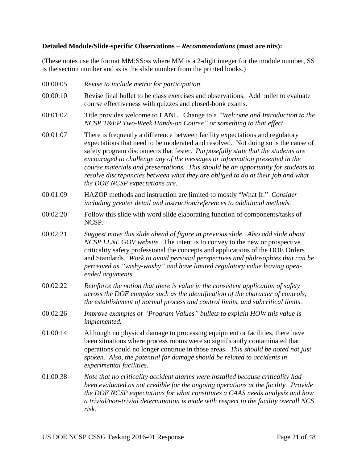#### **Detailed Module/Slide-specific Observations –** *Recommendations* **(most are nits):**

00:00:05 *Revise to include metric for participation.*

(These notes use the format MM:SS:ss where MM is a 2-digit integer for the module number, SS is the section number and ss is the slide number from the printed books.)

00:00:10 Revise final bullet to be class exercises and observations. Add bullet to evaluate course effectiveness with quizzes and closed-book exams. 00:01:02 Title provides welcome to LANL. Change to a *"Welcome and Introduction to the NCSP T&EP Two-Week Hands-on Course" or something to that effect*. 00:01:07 There is frequently a difference between facility expectations and regulatory expectations that need to be moderated and resolved. Not doing so is the cause of safety program disconnects that fester. *Purposefully state that the students are encouraged to challenge any of the messages or information presented in the course materials and presentations. This should be an opportunity for students to resolve discrepancies between what they are obliged to do at their job and what the DOE NCSP expectations are.* 00:01:09 HAZOP methods and instruction are limited to mostly "What If." *Consider including greater detail and instruction/references to additional methods.* 00:02:20 Follow this slide with word slide elaborating function of components/tasks of NCSP. 00:02:21 *Suggest move this slide ahead of figure in previous slide. Also add slide about NCSP.LLNL.GOV website.* The intent is to convey to the new or prospective criticality safety professional the concepts and applications of the DOE Orders and Standards. *Work to avoid personal perspectives and philosophies that can be perceived as "wishy-washy" and have limited regulatory value leaving openended arguments.* 00:02:22 *Reinforce the notion that there is value in the consistent application of safety across the DOE complex such as the identification of the character of controls, the establishment of normal process and control limits, and subcritical limits.* 00:02:26 *Improve examples of "Program Values" bullets to explain HOW this value is implemented.* 01:00:14 Although no physical damage to processing equipment or facilities, there have been situations where process rooms were so significantly contaminated that operations could no longer continue in those areas. *This should be noted not just spoken. Also, the potential for damage should be related to accidents in experimental facilities.* 01:00:38 *Note that no criticality accident alarms were installed because criticality had been evaluated as not credible for the ongoing operations at the facility. Provide the DOE NCSP expectations for what constitutes a CAAS needs analysis and how a trivial/non-trivial determination is made with respect to the facility overall NCS risk.*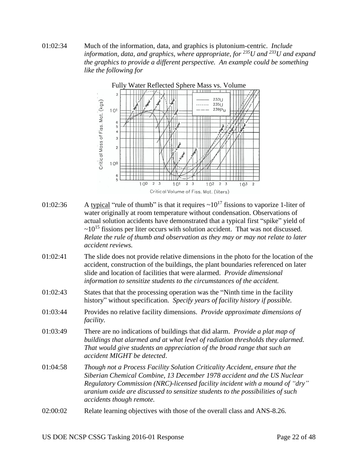01:02:34 Much of the information, data, and graphics is plutonium-centric. *Include information, data, and graphics, where appropriate, for <sup>235</sup>U and <sup>233</sup>U and expand the graphics to provide a different perspective. An example could be something like the following for*



- 01:02:36 A typical "rule of thumb" is that it requires  $\sim 10^{17}$  fissions to vaporize 1-liter of water originally at room temperature without condensation. Observations of actual solution accidents have demonstrated that a typical first "spike" yield of  $\sim$ 10<sup>15</sup> fissions per liter occurs with solution accident. That was not discussed. *Relate the rule of thumb and observation as they may or may not relate to later accident reviews.*
- 01:02:41 The slide does not provide relative dimensions in the photo for the location of the accident, construction of the buildings, the plant boundaries referenced on later slide and location of facilities that were alarmed. *Provide dimensional information to sensitize students to the circumstances of the accident.*
- 01:02:43 States that that the processing operation was the "Ninth time in the facility history" without specification. *Specify years of facility history if possible.*
- 01:03:44 Provides no relative facility dimensions. *Provide approximate dimensions of facility.*
- 01:03:49 There are no indications of buildings that did alarm. *Provide a plat map of buildings that alarmed and at what level of radiation thresholds they alarmed. That would give students an appreciation of the broad range that such an accident MIGHT be detected*.
- 01:04:58 *Though not a Process Facility Solution Criticality Accident, ensure that the Siberian Chemical Combine, 13 December 1978 accident and the US Nuclear Regulatory Commission (NRC)-licensed facility incident with a mound of "dry" uranium oxide are discussed to sensitize students to the possibilities of such accidents though remote.*
- 02:00:02 Relate learning objectives with those of the overall class and ANS-8.26.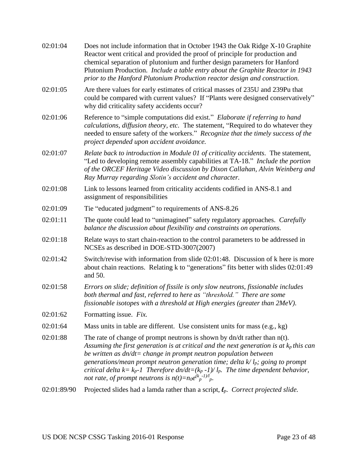| 02:01:04    | Does not include information that in October 1943 the Oak Ridge X-10 Graphite<br>Reactor went critical and provided the proof of principle for production and<br>chemical separation of plutonium and further design parameters for Hanford<br>Plutonium Production. Include a table entry about the Graphite Reactor in 1943<br>prior to the Hanford Plutonium Production reactor design and construction.                                                                                                 |
|-------------|-------------------------------------------------------------------------------------------------------------------------------------------------------------------------------------------------------------------------------------------------------------------------------------------------------------------------------------------------------------------------------------------------------------------------------------------------------------------------------------------------------------|
| 02:01:05    | Are there values for early estimates of critical masses of 235U and 239Pu that<br>could be compared with current values? If "Plants were designed conservatively"<br>why did criticality safety accidents occur?                                                                                                                                                                                                                                                                                            |
| 02:01:06    | Reference to "simple computations did exist." Elaborate if referring to hand<br>calculations, diffusion theory, etc. The statement, "Required to do whatever they<br>needed to ensure safety of the workers." Recognize that the timely success of the<br>project depended upon accident avoidance.                                                                                                                                                                                                         |
| 02:01:07    | Relate back to introduction in Module 01 of criticality accidents. The statement,<br>"Led to developing remote assembly capabilities at TA-18." Include the portion<br>of the ORCEF Heritage Video discussion by Dixon Callahan, Alvin Weinberg and<br>Ray Murray regarding Slotin's accident and character.                                                                                                                                                                                                |
| 02:01:08    | Link to lessons learned from criticality accidents codified in ANS-8.1 and<br>assignment of responsibilities                                                                                                                                                                                                                                                                                                                                                                                                |
| 02:01:09    | Tie "educated judgment" to requirements of ANS-8.26                                                                                                                                                                                                                                                                                                                                                                                                                                                         |
| 02:01:11    | The quote could lead to "unimagined" safety regulatory approaches. Carefully<br>balance the discussion about flexibility and constraints on operations.                                                                                                                                                                                                                                                                                                                                                     |
| 02:01:18    | Relate ways to start chain-reaction to the control parameters to be addressed in<br>NCSEs as described in DOE-STD-3007(2007)                                                                                                                                                                                                                                                                                                                                                                                |
| 02:01:42    | Switch/revise with information from slide 02:01:48. Discussion of k here is more<br>about chain reactions. Relating k to "generations" fits better with slides 02:01:49<br>and 50.                                                                                                                                                                                                                                                                                                                          |
| 02:01:58    | Errors on slide; definition of fissile is only slow neutrons, fissionable includes<br>both thermal and fast, referred to here as "threshold." There are some<br>fissionable isotopes with a threshold at High energies (greater than 2MeV).                                                                                                                                                                                                                                                                 |
| 02:01:62    | Formatting issue. Fix.                                                                                                                                                                                                                                                                                                                                                                                                                                                                                      |
| 02:01:64    | Mass units in table are different. Use consistent units for mass (e.g., kg)                                                                                                                                                                                                                                                                                                                                                                                                                                 |
| 02:01:88    | The rate of change of prompt neutrons is shown by $dn/dt$ rather than $n(t)$ .<br>Assuming the first generation is at critical and the next generation is at $k_p$ this can<br>be written as $dn/dt = change$ in prompt neutron population between<br>generations/mean prompt neutron generation time; delta $k/l_p$ ; going to prompt<br>critical delta $k = k_p - 1$ Therefore $dn/dt = (k_p - 1)/l_p$ . The time dependent behavior,<br>not rate, of prompt neutrons is $n(t) = n_0 e^{(k_p - 1)/l} p$ . |
| 02:01:89/90 | Projected slides had a lamda rather than a script, $\ell_p$ . Correct projected slide.                                                                                                                                                                                                                                                                                                                                                                                                                      |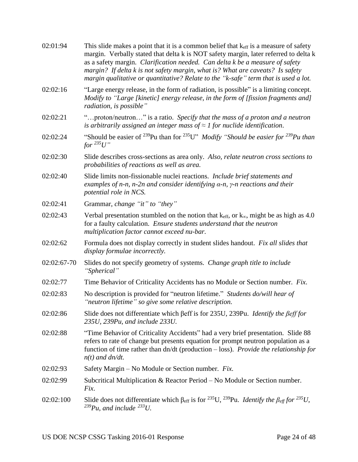| 02:01:94    | This slide makes a point that it is a common belief that $k_{\text{eff}}$ is a measure of safety<br>margin. Verbally stated that delta k is NOT safety margin, later referred to delta k<br>as a safety margin. Clarification needed. Can delta k be a measure of safety<br>margin? If delta k is not safety margin, what is? What are caveats? Is safety<br>margin qualitative or quantitative? Relate to the "k-safe" term that is used a lot. |
|-------------|--------------------------------------------------------------------------------------------------------------------------------------------------------------------------------------------------------------------------------------------------------------------------------------------------------------------------------------------------------------------------------------------------------------------------------------------------|
| 02:02:16    | "Large energy release, in the form of radiation, is possible" is a limiting concept.<br>Modify to "Large [kinetic] energy release, in the form of [fission fragments and]<br>radiation, is possible"                                                                                                                                                                                                                                             |
| 02:02:21    | "proton/neutron" is a ratio. Specify that the mass of a proton and a neutron<br>is arbitrarily assigned an integer mass of $\approx$ 1 for nuclide identification.                                                                                                                                                                                                                                                                               |
| 02:02:24    | "Should be easier of <sup>239</sup> Pu than for <sup>235</sup> U" <i>Modify</i> "Should be easier for <sup>239</sup> Pu than<br>for $^{235}U''$                                                                                                                                                                                                                                                                                                  |
| 02:02:30    | Slide describes cross-sections as area only. Also, relate neutron cross sections to<br>probabilities of reactions as well as area.                                                                                                                                                                                                                                                                                                               |
| 02:02:40    | Slide limits non-fissionable nuclei reactions. Include brief statements and<br>examples of n-n, n-2n and consider identifying $\alpha$ -n, $\gamma$ -n reactions and their<br>potential role in NCS.                                                                                                                                                                                                                                             |
| 02:02:41    | Grammar, change "it" to "they"                                                                                                                                                                                                                                                                                                                                                                                                                   |
| 02:02:43    | Verbal presentation stumbled on the notion that $k_{eff}$ , or $k_{\infty}$ , might be as high as 4.0<br>for a faulty calculation. Ensure students understand that the neutron<br>multiplication factor cannot exceed nu-bar.                                                                                                                                                                                                                    |
| 02:02:62    | Formula does not display correctly in student slides handout. Fix all slides that<br>display formulae incorrectly.                                                                                                                                                                                                                                                                                                                               |
| 02:02:67-70 | Slides do not specify geometry of systems. Change graph title to include<br>"Spherical"                                                                                                                                                                                                                                                                                                                                                          |
| 02:02:77    | Time Behavior of Criticality Accidents has no Module or Section number. Fix.                                                                                                                                                                                                                                                                                                                                                                     |
| 02:02:83    | No description is provided for "neutron lifetime." Students do/will hear of<br>"neutron lifetime" so give some relative description.                                                                                                                                                                                                                                                                                                             |
| 02:02:86    | Slide does not differentiate which ßeff is for 235U, 239Pu. Identify the ßeff for<br>235U, 239Pu, and include 233U.                                                                                                                                                                                                                                                                                                                              |
| 02:02:88    | "Time Behavior of Criticality Accidents" had a very brief presentation. Slide 88<br>refers to rate of change but presents equation for prompt neutron population as a<br>function of time rather than dn/dt (production - loss). Provide the relationship for<br>$n(t)$ and $dn/dt$ .                                                                                                                                                            |
| 02:02:93    | Safety Margin – No Module or Section number. Fix.                                                                                                                                                                                                                                                                                                                                                                                                |
| 02:02:99    | Subcritical Multiplication & Reactor Period – No Module or Section number.<br>Fix.                                                                                                                                                                                                                                                                                                                                                               |
| 02:02:100   | Slide does not differentiate which $\beta_{\text{eff}}$ is for <sup>235</sup> U, <sup>239</sup> Pu. <i>Identify the <math>\beta_{\text{eff}}</math> for</i> <sup>235</sup> U,<br>$^{239}Pu$ , and include $^{233}U$ .                                                                                                                                                                                                                            |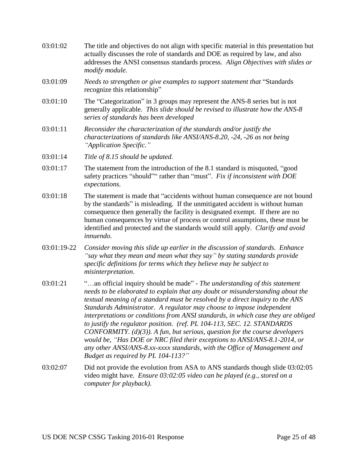- 03:01:02 The title and objectives do not align with specific material in this presentation but actually discusses the role of standards and DOE as required by law, and also addresses the ANSI consensus standards process. *Align Objectives with slides or modify module.*
- 03:01:09 *Needs to strengthen or give examples to support statement that* "Standards recognize this relationship"
- 03:01:10 The "Categorization" in 3 groups may represent the ANS-8 series but is not generally applicable. *This slide should be revised to illustrate how the ANS-8 series of standards has been developed*
- 03:01:11 *Reconsider the characterization of the standards and/or justify the characterizations of standards like ANSI/ANS-8.20, -24, -26 as not being "Application Specific."*
- 03:01:14 *Title of 8.15 should be updated.*
- 03:01:17 The statement from the introduction of the 8.1 standard is misquoted, "good safety practices "should"" rather than "must". *Fix if inconsistent with DOE expectations.*
- 03:01:18 The statement is made that "accidents without human consequence are not bound by the standards" is misleading. If the unmitigated accident is without human consequence then generally the facility is designated exempt. If there are no human consequences by virtue of process or control assumptions, these must be identified and protected and the standards would still apply. *Clarify and avoid innuendo.*
- 03:01:19-22 *Consider moving this slide up earlier in the discussion of standards. Enhance "say what they mean and mean what they say" by stating standards provide specific definitions for terms which they believe may be subject to misinterpretation*.
- 03:01:21 "…an official inquiry should be made" *The understanding of this statement needs to be elaborated to explain that any doubt or misunderstanding about the textual meaning of a standard must be resolved by a direct inquiry to the ANS Standards Administrator. A regulator may choose to impose independent interpretations or conditions from ANSI standards, in which case they are obliged to justify the regulator position. (ref. PL 104-113, SEC. 12. STANDARDS CONFORMITY. (d)(3)). A fun, but serious, question for the course developers would be, "Has DOE or NRC filed their exceptions to ANSI/ANS-8.1-2014, or any other ANSI/ANS-8.xx-xxxx standards, with the Office of Management and Budget as required by PL 104-113?"*
- 03:02:07 Did not provide the evolution from ASA to ANS standards though slide 03:02:05 video might have. *Ensure 03:02:05 video can be played (e.g., stored on a computer for playback).*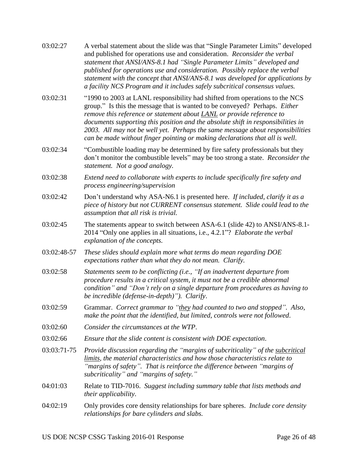| 03:02:27    | A verbal statement about the slide was that "Single Parameter Limits" developed<br>and published for operations use and consideration. Reconsider the verbal<br>statement that ANSI/ANS-8.1 had "Single Parameter Limits" developed and<br>published for operations use and consideration. Possibly replace the verbal<br>statement with the concept that ANSI/ANS-8.1 was developed for applications by<br>a facility NCS Program and it includes safely subcritical consensus values.         |
|-------------|-------------------------------------------------------------------------------------------------------------------------------------------------------------------------------------------------------------------------------------------------------------------------------------------------------------------------------------------------------------------------------------------------------------------------------------------------------------------------------------------------|
| 03:02:31    | "1990 to 2003 at LANL responsibility had shifted from operations to the NCS<br>group." Is this the message that is wanted to be conveyed? Perhaps. Either<br>remove this reference or statement about <b>LANL</b> or provide reference to<br>documents supporting this position and the absolute shift in responsibilities in<br>2003. All may not be well yet. Perhaps the same message about responsibilities<br>can be made without finger pointing or making declarations that all is well. |
| 03:02:34    | "Combustible loading may be determined by fire safety professionals but they<br>don't monitor the combustible levels" may be too strong a state. Reconsider the<br>statement. Not a good analogy.                                                                                                                                                                                                                                                                                               |
| 03:02:38    | Extend need to collaborate with experts to include specifically fire safety and<br>process engineering/supervision                                                                                                                                                                                                                                                                                                                                                                              |
| 03:02:42    | Don't understand why ASA-N6.1 is presented here. If included, clarify it as a<br>piece of history but not CURRENT consensus statement. Slide could lead to the<br>assumption that all risk is trivial.                                                                                                                                                                                                                                                                                          |
| 03:02:45    | The statements appear to switch between ASA-6.1 (slide 42) to ANSI/ANS-8.1-<br>2014 "Only one applies in all situations, i.e., 4.2.1"? Elaborate the verbal<br>explanation of the concepts.                                                                                                                                                                                                                                                                                                     |
| 03:02:48-57 | These slides should explain more what terms do mean regarding DOE<br>expectations rather than what they do not mean. Clarify.                                                                                                                                                                                                                                                                                                                                                                   |
| 03:02:58    | Statements seem to be conflicting (i.e., "If an inadvertent departure from<br>procedure results in a critical system, it must not be a credible abnormal<br>condition" and "Don't rely on a single departure from procedures as having to<br>be incredible (defense-in-depth)"). Clarify.                                                                                                                                                                                                       |
| 03:02:59    | Grammar. Correct grammar to "they had counted to two and stopped". Also,<br>make the point that the identified, but limited, controls were not followed.                                                                                                                                                                                                                                                                                                                                        |
| 03:02:60    | Consider the circumstances at the WTP.                                                                                                                                                                                                                                                                                                                                                                                                                                                          |
| 03:02:66    | Ensure that the slide content is consistent with DOE expectation.                                                                                                                                                                                                                                                                                                                                                                                                                               |
| 03:03:71-75 | Provide discussion regarding the "margins of subcriticality" of the subcritical<br>limits, the material characteristics and how those characteristics relate to<br>"margins of safety". That is reinforce the difference between "margins of<br>subcriticality" and "margins of safety."                                                                                                                                                                                                        |
| 04:01:03    | Relate to TID-7016. Suggest including summary table that lists methods and<br><i>their applicability.</i>                                                                                                                                                                                                                                                                                                                                                                                       |
| 04:02:19    | Only provides core density relationships for bare spheres. <i>Include core density</i><br>relationships for bare cylinders and slabs.                                                                                                                                                                                                                                                                                                                                                           |
|             |                                                                                                                                                                                                                                                                                                                                                                                                                                                                                                 |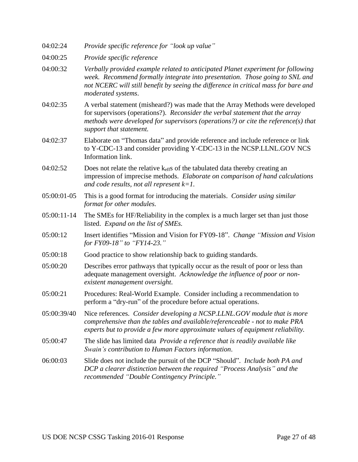- 04:02:24 *Provide specific reference for "look up value"*
- 04:00:25 *Provide specific reference*
- 04:00:32 *Verbally provided example related to anticipated Planet experiment for following week. Recommend formally integrate into presentation. Those going to SNL and not NCERC will still benefit by seeing the difference in critical mass for bare and moderated systems*.
- 04:02:35 A verbal statement (misheard?) was made that the Array Methods were developed for supervisors (operations?). *Reconsider the verbal statement that the array methods were developed for supervisors (operations?) or cite the reference(s) that support that statement.*
- 04:02:37 Elaborate on "Thomas data" and provide reference and include reference or link to Y-CDC-13 and consider providing Y-CDC-13 in the NCSP.LLNL.GOV NCS Information link.
- 04:02:52 Does not relate the relative  $k_{\text{eff}}$ s of the tabulated data thereby creating an impression of imprecise methods. *Elaborate on comparison of hand calculations and code results, not all represent k=1.*
- 05:00:01-05 This is a good format for introducing the materials. *Consider using similar format for other modules.*
- 05:00:11-14 The SMEs for HF/Reliability in the complex is a much larger set than just those listed. *Expand on the list of SMEs.*
- 05:00:12 Insert identifies "Mission and Vision for FY09-18". *Change "Mission and Vision for FY09-18" to "FY14-23."*
- 05:00:18 Good practice to show relationship back to guiding standards.
- 05:00:20 Describes error pathways that typically occur as the result of poor or less than adequate management oversight. *Acknowledge the influence of poor or nonexistent management oversight*.
- 05:00:21 Procedures: Real-World Example. Consider including a recommendation to perform a "dry-run" of the procedure before actual operations.
- 05:00:39/40 Nice references. *Consider developing a NCSP.LLNL.GOV module that is more comprehensive than the tables and available/referenceable - not to make PRA experts but to provide a few more approximate values of equipment reliability.*
- 05:00:47 The slide has limited data *Provide a reference that is readily available like Swain's contribution to Human Factors information*.
- 06:00:03 Slide does not include the pursuit of the DCP "Should". *Include both PA and DCP a clearer distinction between the required "Process Analysis" and the recommended "Double Contingency Principle."*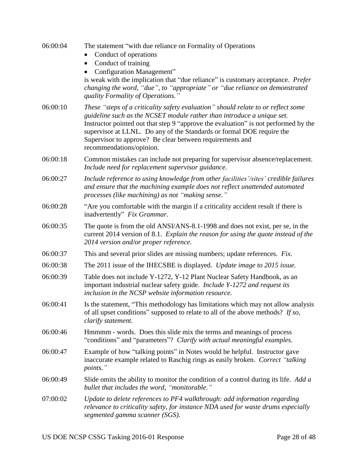| 06:00:04 | The statement "with due reliance on Formality of Operations"<br>Conduct of operations<br>Conduct of training<br>$\bullet$<br><b>Configuration Management</b> "<br>is weak with the implication that "due reliance" is customary acceptance. Prefer<br>changing the word, "due", to "appropriate" or "due reliance on demonstrated<br>quality Formality of Operations."                                              |
|----------|---------------------------------------------------------------------------------------------------------------------------------------------------------------------------------------------------------------------------------------------------------------------------------------------------------------------------------------------------------------------------------------------------------------------|
| 06:00:10 | These "steps of a criticality safety evaluation" should relate to or reflect some<br>guideline such as the NCSET module rather than introduce a unique set.<br>Instructor pointed out that step 9 "approve the evaluation" is not performed by the<br>supervisor at LLNL. Do any of the Standards or formal DOE require the<br>Supervisor to approve? Be clear between requirements and<br>recommendations/opinion. |
| 06:00:18 | Common mistakes can include not preparing for supervisor absence/replacement.<br>Include need for replacement supervisor guidance.                                                                                                                                                                                                                                                                                  |
| 06:00:27 | Include reference to using knowledge from other facilities'/sites' credible failures<br>and ensure that the machining example does not reflect unattended automated<br>processes (like machining) as not "making sense."                                                                                                                                                                                            |
| 06:00:28 | "Are you comfortable with the margin if a criticality accident result if there is<br>inadvertently" Fix Grammar.                                                                                                                                                                                                                                                                                                    |
| 06:00:35 | The quote is from the old ANSI/ANS-8.1-1998 and does not exist, per se, in the<br>current 2014 version of 8.1. Explain the reason for using the quote instead of the<br>2014 version and/or proper reference.                                                                                                                                                                                                       |
| 06:00:37 | This and several prior slides are missing numbers; update references. Fix.                                                                                                                                                                                                                                                                                                                                          |
| 06:00:38 | The 2011 issue of the IHECSBE is displayed. Update image to 2015 issue.                                                                                                                                                                                                                                                                                                                                             |
| 06:00:39 | Table does not include Y-1272, Y-12 Plant Nuclear Safety Handbook, as an<br>important industrial nuclear safety guide. Include Y-1272 and request its<br>inclusion in the NCSP website information resource.                                                                                                                                                                                                        |
| 06:00:41 | Is the statement, "This methodology has limitations which may not allow analysis<br>of all upset conditions" supposed to relate to all of the above methods? If so,<br>clarify statement.                                                                                                                                                                                                                           |
| 06:00:46 | Hmmmm - words. Does this slide mix the terms and meanings of process<br>"conditions" and "parameters"? Clarify with actual meaningful examples.                                                                                                                                                                                                                                                                     |
| 06:00:47 | Example of how "talking points" in Notes would be helpful. Instructor gave<br>inaccurate example related to Raschig rings as easily broken. Correct "talking<br>points."                                                                                                                                                                                                                                            |
| 06:00:49 | Slide omits the ability to monitor the condition of a control during its life. Add a<br>bullet that includes the word, "monitorable."                                                                                                                                                                                                                                                                               |
| 07:00:02 | Update to delete references to PF4 walkthrough: add information regarding<br>relevance to criticality safety, for instance NDA used for waste drums especially<br>segmented gamma scanner (SGS).                                                                                                                                                                                                                    |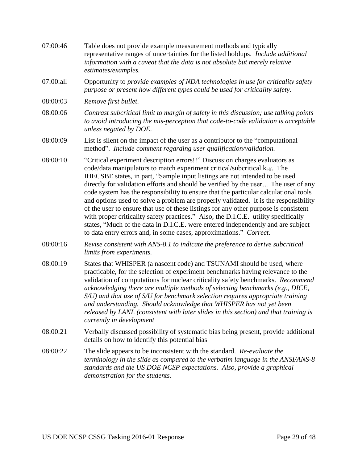| 07:00:46  | Table does not provide example measurement methods and typically<br>representative ranges of uncertainties for the listed holdups. Include additional<br>information with a caveat that the data is not absolute but merely relative<br>estimates/examples.                                                                                                                                                                                                                                                                                                                                                                                                                                                                                                                                                                                           |
|-----------|-------------------------------------------------------------------------------------------------------------------------------------------------------------------------------------------------------------------------------------------------------------------------------------------------------------------------------------------------------------------------------------------------------------------------------------------------------------------------------------------------------------------------------------------------------------------------------------------------------------------------------------------------------------------------------------------------------------------------------------------------------------------------------------------------------------------------------------------------------|
| 07:00:all | Opportunity to provide examples of NDA technologies in use for criticality safety<br>purpose or present how different types could be used for criticality safety.                                                                                                                                                                                                                                                                                                                                                                                                                                                                                                                                                                                                                                                                                     |
| 08:00:03  | Remove first bullet.                                                                                                                                                                                                                                                                                                                                                                                                                                                                                                                                                                                                                                                                                                                                                                                                                                  |
| 08:00:06  | Contrast subcritical limit to margin of safety in this discussion; use talking points<br>to avoid introducing the mis-perception that code-to-code validation is acceptable<br>unless negated by DOE.                                                                                                                                                                                                                                                                                                                                                                                                                                                                                                                                                                                                                                                 |
| 08:00:09  | List is silent on the impact of the user as a contributor to the "computational"<br>method". Include comment regarding user qualification/validation.                                                                                                                                                                                                                                                                                                                                                                                                                                                                                                                                                                                                                                                                                                 |
| 08:00:10  | "Critical experiment description errors!!" Discussion charges evaluators as<br>code/data manipulators to match experiment critical/subcritical keff. The<br>IHECSBE states, in part, "Sample input listings are not intended to be used<br>directly for validation efforts and should be verified by the user The user of any<br>code system has the responsibility to ensure that the particular calculational tools<br>and options used to solve a problem are properly validated. It is the responsibility<br>of the user to ensure that use of these listings for any other purpose is consistent<br>with proper criticality safety practices." Also, the D.I.C.E. utility specifically<br>states, "Much of the data in D.I.C.E. were entered independently and are subject<br>to data entry errors and, in some cases, approximations." Correct. |
| 08:00:16  | Revise consistent with ANS-8.1 to indicate the preference to derive subcritical<br>limits from experiments.                                                                                                                                                                                                                                                                                                                                                                                                                                                                                                                                                                                                                                                                                                                                           |
| 08:00:19  | States that WHISPER (a nascent code) and TSUNAMI should be used, where<br>practicable, for the selection of experiment benchmarks having relevance to the<br>validation of computations for nuclear criticality safety benchmarks. Recommend<br>acknowledging there are multiple methods of selecting benchmarks (e.g., DICE,<br>S/U) and that use of S/U for benchmark selection requires appropriate training<br>and understanding. Should acknowledge that WHISPER has not yet been<br>released by LANL (consistent with later slides in this section) and that training is<br>currently in development                                                                                                                                                                                                                                            |
| 08:00:21  | Verbally discussed possibility of systematic bias being present, provide additional<br>details on how to identify this potential bias                                                                                                                                                                                                                                                                                                                                                                                                                                                                                                                                                                                                                                                                                                                 |
| 08:00:22  | The slide appears to be inconsistent with the standard. Re-evaluate the<br>terminology in the slide as compared to the verbatim language in the ANSI/ANS-8<br>standards and the US DOE NCSP expectations. Also, provide a graphical<br>demonstration for the students.                                                                                                                                                                                                                                                                                                                                                                                                                                                                                                                                                                                |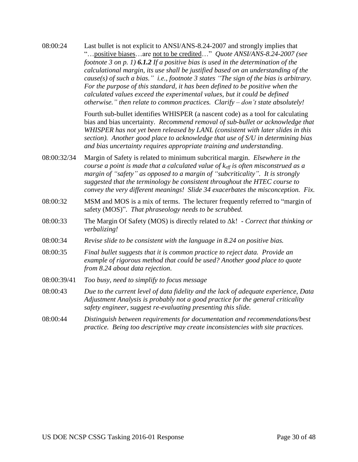08:00:24 Last bullet is not explicit to ANSI/ANS-8.24-2007 and strongly implies that "…positive biases…are not to be credited…" *Quote ANSI/ANS-8.24-2007 (see footnote 3 on p. 1) 6.1.2 If a positive bias is used in the determination of the calculational margin, its use shall be justified based on an understanding of the cause(s) of such a bias." i.e., footnote 3 states "The sign of the bias is arbitrary. For the purpose of this standard, it has been defined to be positive when the calculated values exceed the experimental values, but it could be defined otherwise." then relate to common practices. Clarify – don't state absolutely!*

> Fourth sub-bullet identifies WHISPER (a nascent code) as a tool for calculating bias and bias uncertainty. *Recommend removal of sub-bullet or acknowledge that WHISPER has not yet been released by LANL (consistent with later slides in this section). Another good place to acknowledge that use of S/U in determining bias and bias uncertainty requires appropriate training and understanding*.

- 08:00:32/34 Margin of Safety is related to minimum subcritical margin. *Elsewhere in the course a point is made that a calculated value of*  $k_{\text{eff}}$  *is often misconstrued as a margin of "safety" as opposed to a margin of "subcriticality". It is strongly suggested that the terminology be consistent throughout the HTEC course to convey the very different meanings! Slide 34 exacerbates the misconception. Fix.*
- 08:00:32 MSM and MOS is a mix of terms. The lecturer frequently referred to "margin of safety (MOS)". *That phraseology needs to be scrubbed.*
- 08:00:33 The Margin Of Safety (MOS) is directly related to Δk! *Correct that thinking or verbalizing!*
- 08:00:34 *Revise slide to be consistent with the language in 8.24 on positive bias.*
- 08:00:35 *Final bullet suggests that it is common practice to reject data. Provide an example of rigorous method that could be used? Another good place to quote from 8.24 about data rejection*.
- 08:00:39/41 *Too busy, need to simplify to focus message*
- 08:00:43 *Due to the current level of data fidelity and the lack of adequate experience, Data Adjustment Analysis is probably not a good practice for the general criticality safety engineer, suggest re-evaluating presenting this slide.*
- 08:00:44 *Distinguish between requirements for documentation and recommendations/best practice. Being too descriptive may create inconsistencies with site practices.*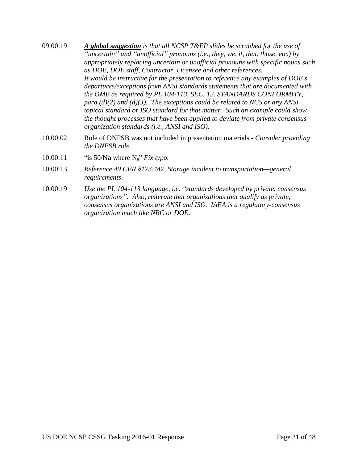- 09:00:19 *A global suggestion is that all NCSP T&EP slides be scrubbed for the use of "uncertain" and "unofficial" pronouns (i.e., they, we, it, that, those, etc.) by appropriately replacing uncertain or unofficial pronouns with specific nouns such as DOE, DOE staff, Contractor, Licensee and other references. It would be instructive for the presentation to reference any examples of DOE's departures/exceptions from ANSI standards statements that are documented with the OMB as required by PL 104-113, SEC. 12. STANDARDS CONFORMITY, para (d)(2) and (d)(3). The exceptions could be related to NCS or any ANSI topical standard or ISO standard for that matter. Such an example could show the thought processes that have been applied to deviate from private consensus organization standards (i.e., ANSI and ISO).*
- 10:00:02 Role of DNFSB was not included in presentation materials*.- Consider providing the DNFSB role.*
- 10:00:11 "is 50/N**a** where Na" *Fix typo.*
- 10:00:13 *Reference 49 CFR §173.447, Storage incident to transportation—general requirements*.
- 10:00:19 *Use the PL 104-113 language, i.e. "standards developed by private, consensus organizations". Also, reiterate that organizations that qualify as private, consensus organizations are ANSI and ISO. IAEA is a regulatory-consensus organization much like NRC or DOE*.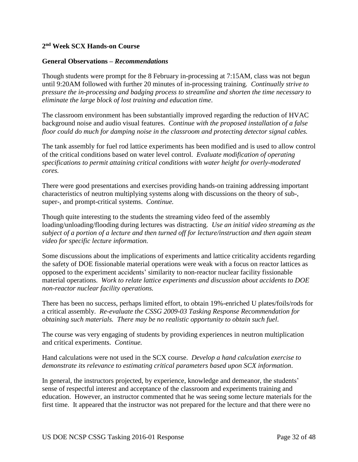## **2 nd Week SCX Hands-on Course**

#### **General Observations –** *Recommendations*

Though students were prompt for the 8 February in-processing at 7:15AM, class was not begun until 9:20AM followed with further 20 minutes of in-processing training. *Continually strive to pressure the in-processing and badging process to streamline and shorten the time necessary to eliminate the large block of lost training and education time*.

The classroom environment has been substantially improved regarding the reduction of HVAC background noise and audio visual features. *Continue with the proposed installation of a false floor could do much for damping noise in the classroom and protecting detector signal cables.*

The tank assembly for fuel rod lattice experiments has been modified and is used to allow control of the critical conditions based on water level control. *Evaluate modification of operating specifications to permit attaining critical conditions with water height for overly-moderated cores.*

There were good presentations and exercises providing hands-on training addressing important characteristics of neutron multiplying systems along with discussions on the theory of sub-, super-, and prompt-critical systems. *Continue.*

Though quite interesting to the students the streaming video feed of the assembly loading/unloading/flooding during lectures was distracting. *Use an initial video streaming as the subject of a portion of a lecture and then turned off for lecture/instruction and then again steam video for specific lecture information.*

Some discussions about the implications of experiments and lattice criticality accidents regarding the safety of DOE fissionable material operations were weak with a focus on reactor lattices as opposed to the experiment accidents' similarity to non-reactor nuclear facility fissionable material operations. *Work to relate lattice experiments and discussion about accidents to DOE non-reactor nuclear facility operations.*

There has been no success, perhaps limited effort, to obtain 19%-enriched U plates/foils/rods for a critical assembly. *Re-evaluate the CSSG 2009-03 Tasking Response Recommendation for obtaining such materials. There may be no realistic opportunity to obtain such fuel*.

The course was very engaging of students by providing experiences in neutron multiplication and critical experiments. *Continue.*

Hand calculations were not used in the SCX course. *Develop a hand calculation exercise to demonstrate its relevance to estimating critical parameters based upon SCX information*.

In general, the instructors projected, by experience, knowledge and demeanor, the students' sense of respectful interest and acceptance of the classroom and experiments training and education. However, an instructor commented that he was seeing some lecture materials for the first time. It appeared that the instructor was not prepared for the lecture and that there were no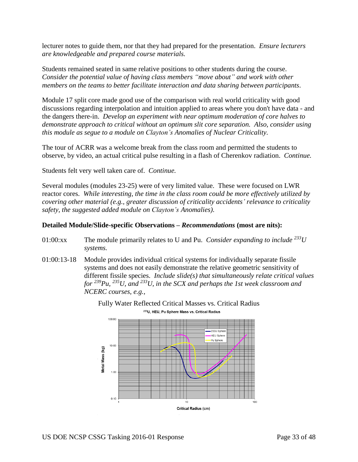lecturer notes to guide them, nor that they had prepared for the presentation. *Ensure lecturers are knowledgeable and prepared course materials.*

Students remained seated in same relative positions to other students during the course. *Consider the potential value of having class members "move about" and work with other members on the teams to better facilitate interaction and data sharing between participants*.

Module 17 split core made good use of the comparison with real world criticality with good discussions regarding interpolation and intuition applied to areas where you don't have data - and the dangers there-in. *Develop an experiment with near optimum moderation of core halves to demonstrate approach to critical without an optimum slit core separation. Also, consider using this module as segue to a module on Clayton's Anomalies of Nuclear Criticality.*

The tour of ACRR was a welcome break from the class room and permitted the students to observe, by video, an actual critical pulse resulting in a flash of Cherenkov radiation. *Continue.*

Students felt very well taken care of. *Continue.*

Several modules (modules 23-25) were of very limited value. These were focused on LWR reactor cores. *While interesting, the time in the class room could be more effectively utilized by covering other material (e.g., greater discussion of criticality accidents' relevance to criticality safety, the suggested added module on Clayton's Anomalies)*.

#### **Detailed Module/Slide-specific Observations –** *Recommendations* **(most are nits):**

- 01:00:xx The module primarily relates to U and Pu. *Consider expanding to include <sup>233</sup>U systems.*
- 01:00:13-18 Module provides individual critical systems for individually separate fissile systems and does not easily demonstrate the relative geometric sensitivity of different fissile species. *Include slide(s) that simultaneously relate critical values for <sup>239</sup>Pu, <sup>235</sup>U, and <sup>233</sup>U, in the SCX and perhaps the 1st week classroom and NCERC courses, e.g.,*



Fully Water Reflected Critical Masses vs. Critical Radius233U, HEU, Pu Sphere Mass vs. Critical Radius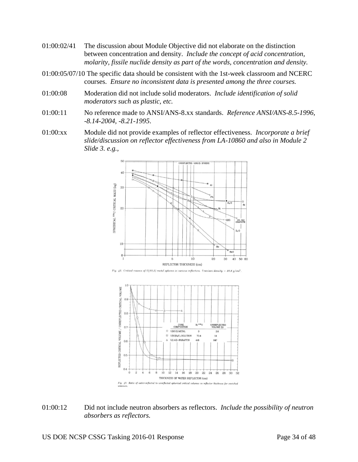- 01:00:02/41 The discussion about Module Objective did not elaborate on the distinction between concentration and density. *Include the concept of acid concentration, molarity, fissile nuclide density as part of the words, concentration and density.*
- 01:00:05/07/10 The specific data should be consistent with the 1st-week classroom and NCERC courses. *Ensure no inconsistent data is presented among the three courses.*
- 01:00:08 Moderation did not include solid moderators. *Include identification of solid moderators such as plastic, etc.*
- 01:00:11 No reference made to ANSI/ANS-8.xx standards. *Reference ANSI/ANS-8.5-1996, -8.14-2004, -8.21-1995*.
- 01:00:xx Module did not provide examples of reflector effectiveness. *Incorporate a brief slide/discussion on reflector effectiveness from LA-10860 and also in Module 2 Slide 3. e.g.,*



Fig. 42. Critical masses of U(93.5) metal spheres in various reflectors. Uranium density  $= 18.8$  g/cm<sup>3</sup>



01:00:12 Did not include neutron absorbers as reflectors. *Include the possibility of neutron absorbers as reflectors.*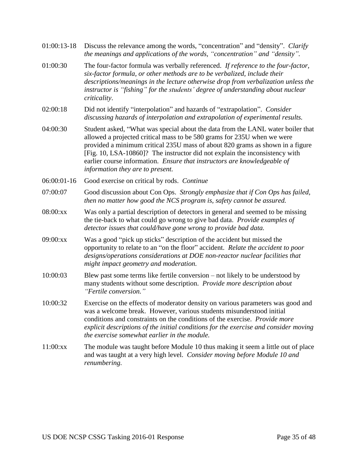- 01:00:13-18 Discuss the relevance among the words, "concentration" and "density". *Clarify the meanings and applications of the words, "concentration" and "density".*
- 01:00:30 The four-factor formula was verbally referenced. *If reference to the four-factor, six-factor formula, or other methods are to be verbalized, include their descriptions/meanings in the lecture otherwise drop from verbalization unless the instructor is "fishing" for the students' degree of understanding about nuclear criticality*.
- 02:00:18 Did not identify "interpolation" and hazards of "extrapolation". *Consider discussing hazards of interpolation and extrapolation of experimental results.*
- 04:00:30 Student asked, "What was special about the data from the LANL water boiler that allowed a projected critical mass to be 580 grams for 235U when we were provided a minimum critical 235U mass of about 820 grams as shown in a figure [Fig. 10, LSA-10860]? The instructor did not explain the inconsistency with earlier course information. *Ensure that instructors are knowledgeable of information they are to present.*
- 06:00:01-16 Good exercise on critical by rods. *Continue*
- 07:00:07 Good discussion about Con Ops. *Strongly emphasize that if Con Ops has failed, then no matter how good the NCS program is, safety cannot be assured.*
- 08:00:xx Was only a partial description of detectors in general and seemed to be missing the tie-back to what could go wrong to give bad data. *Provide examples of detector issues that could/have gone wrong to provide bad data.*
- 09:00:xx Was a good "pick up sticks" description of the accident but missed the opportunity to relate to an "on the floor" accident. *Relate the accident to poor designs/operations considerations at DOE non-reactor nuclear facilities that might impact geometry and moderation.*
- 10:00:03 Blew past some terms like fertile conversion not likely to be understood by many students without some description. *Provide more description about "Fertile conversion."*
- 10:00:32 Exercise on the effects of moderator density on various parameters was good and was a welcome break. However, various students misunderstood initial conditions and constraints on the conditions of the exercise. *Provide more explicit descriptions of the initial conditions for the exercise and consider moving the exercise somewhat earlier in the module.*
- 11:00:xx The module was taught before Module 10 thus making it seem a little out of place and was taught at a very high level. *Consider moving before Module 10 and renumbering.*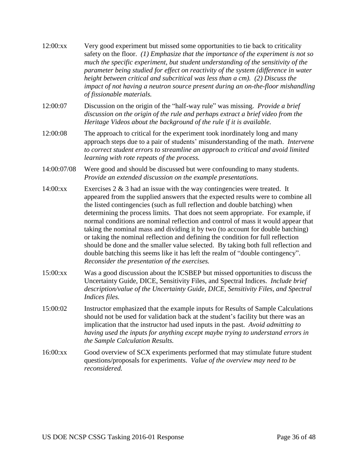| 12:00:xx    | Very good experiment but missed some opportunities to tie back to criticality<br>safety on the floor. $(1)$ Emphasize that the importance of the experiment is not so<br>much the specific experiment, but student understanding of the sensitivity of the<br>parameter being studied for effect on reactivity of the system (difference in water<br>height between critical and subcritical was less than a cm). (2) Discuss the<br>impact of not having a neutron source present during an on-the-floor mishandling<br>of fissionable materials.                                                                                                                                                                                                                                                                   |
|-------------|----------------------------------------------------------------------------------------------------------------------------------------------------------------------------------------------------------------------------------------------------------------------------------------------------------------------------------------------------------------------------------------------------------------------------------------------------------------------------------------------------------------------------------------------------------------------------------------------------------------------------------------------------------------------------------------------------------------------------------------------------------------------------------------------------------------------|
| 12:00:07    | Discussion on the origin of the "half-way rule" was missing. <i>Provide a brief</i><br>discussion on the origin of the rule and perhaps extract a brief video from the<br>Heritage Videos about the background of the rule if it is available.                                                                                                                                                                                                                                                                                                                                                                                                                                                                                                                                                                       |
| 12:00:08    | The approach to critical for the experiment took inordinately long and many<br>approach steps due to a pair of students' misunderstanding of the math. Intervene<br>to correct student errors to streamline an approach to critical and avoid limited<br>learning with rote repeats of the process.                                                                                                                                                                                                                                                                                                                                                                                                                                                                                                                  |
| 14:00:07/08 | Were good and should be discussed but were confounding to many students.<br>Provide an extended discussion on the example presentations.                                                                                                                                                                                                                                                                                                                                                                                                                                                                                                                                                                                                                                                                             |
| 14:00:xx    | Exercises $2 \& 3$ had an issue with the way contingencies were treated. It<br>appeared from the supplied answers that the expected results were to combine all<br>the listed contingencies (such as full reflection and double batching) when<br>determining the process limits. That does not seem appropriate. For example, if<br>normal conditions are nominal reflection and control of mass it would appear that<br>taking the nominal mass and dividing it by two (to account for double batching)<br>or taking the nominal reflection and defining the condition for full reflection<br>should be done and the smaller value selected. By taking both full reflection and<br>double batching this seems like it has left the realm of "double contingency".<br>Reconsider the presentation of the exercises. |
| 15:00:xx    | Was a good discussion about the ICSBEP but missed opportunities to discuss the<br>Uncertainty Guide, DICE, Sensitivity Files, and Spectral Indices. Include brief<br>description/value of the Uncertainty Guide, DICE, Sensitivity Files, and Spectral<br>Indices files.                                                                                                                                                                                                                                                                                                                                                                                                                                                                                                                                             |
| 15:00:02    | Instructor emphasized that the example inputs for Results of Sample Calculations<br>should not be used for validation back at the student's facility but there was an<br>implication that the instructor had used inputs in the past. Avoid admitting to<br>having used the inputs for anything except maybe trying to understand errors in<br>the Sample Calculation Results.                                                                                                                                                                                                                                                                                                                                                                                                                                       |
| 16:00:xx    | Good overview of SCX experiments performed that may stimulate future student<br>questions/proposals for experiments. Value of the overview may need to be                                                                                                                                                                                                                                                                                                                                                                                                                                                                                                                                                                                                                                                            |

*reconsidered.*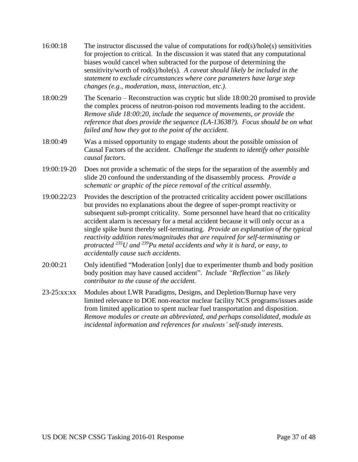- 16:00:18 The instructor discussed the value of computations for rod(s)/hole(s) sensitivities for projection to critical. In the discussion it was stated that any computational biases would cancel when subtracted for the purpose of determining the sensitivity/worth of rod(s)/hole(s). *A caveat should likely be included in the statement to exclude circumstances where core parameters have large step changes (e.g., moderation, mass, interaction, etc.).*
- 18:00:29 The Scenario Reconstruction was cryptic but slide 18:00:20 promised to provide the complex process of neutron-poison rod movements leading to the accident. *Remove slide 18:00:20, include the sequence of movements, or provide the reference that does provide the sequence (LA-13638?). Focus should be on what failed and how they got to the point of the accident*.
- 18:00:49 Was a missed opportunity to engage students about the possible omission of Causal Factors of the accident. *Challenge the students to identify other possible causal factors*.
- 19:00:19-20 Does not provide a schematic of the steps for the separation of the assembly and slide 20 confound the understanding of the disassembly process. *Provide a schematic or graphic of the piece removal of the critical assembly.*
- 19:00:22/23 Provides the description of the protracted criticality accident power oscillations but provides no explanations about the degree of super-prompt reactivity or subsequent sub-prompt criticality. Some personnel have heard that no criticality accident alarm is necessary for a metal accident because it will only occur as a single spike burst thereby self-terminating. *Provide an explanation of the typical reactivity addition rates/magnitudes that are required for self-terminating or protracted <sup>235</sup>U and <sup>239</sup>Pu metal accidents and why it is hard, or easy, to accidentally cause such accidents.*
- 20:00:21 Only identified "Moderation [only] due to experimenter thumb and body position body position may have caused accident". *Include "Reflection" as likely contributor to the cause of the accident.*
- 23-25:xx:xx Modules about LWR Paradigms, Designs, and Depletion/Burnup have very limited relevance to DOE non-reactor nuclear facility NCS programs/issues aside from limited application to spent nuclear fuel transportation and disposition. *Remove modules or create an abbreviated, and perhaps consolidated, module as incidental information and references for students' self-study interests.*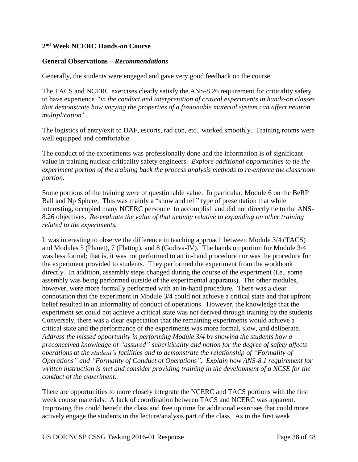## **2 nd Week NCERC Hands-on Course**

#### **General Observations –** *Recommendations*

Generally, the students were engaged and gave very good feedback on the course.

The TACS and NCERC exercises clearly satisfy the ANS-8.26 requirement for criticality safety to have experience *"in the conduct and interpretation of critical experiments in hands-on classes that demonstrate how varying the properties of a fissionable material system can affect neutron multiplication"*.

The logistics of entry/exit to DAF, escorts, rad con, etc., worked smoothly. Training rooms were well equipped and comfortable.

The conduct of the experiments was professionally done and the information is of significant value in training nuclear criticality safety engineers. *Explore additional opportunities to tie the experiment portion of the training back the process analysis methods to re-enforce the classroom portion.*

Some portions of the training were of questionable value. In particular, Module 6 on the BeRP Ball and Np Sphere. This was mainly a "show and tell" type of presentation that while interesting, occupied many NCERC personnel to accomplish and did not directly tie to the ANS-8.26 objectives. *Re-evaluate the value of that activity relative to expanding on other training related to the experiments.*

It was interesting to observe the difference in teaching approach between Module 3/4 (TACS) and Modules 5 (Planet), 7 (Flattop), and 8 (Godiva-IV). The hands on portion for Module 3/4 was less formal; that is, it was not performed to an in-hand procedure nor was the procedure for the experiment provided to students. They performed the experiment from the workbook directly. In addition, assembly steps changed during the course of the experiment (i.e., some assembly was being performed outside of the experimental apparatus). The other modules, however, were more formally performed with an in-hand procedure. There was a clear connotation that the experiment in Module 3/4 could not achieve a critical state and that upfront belief resulted in an informality of conduct of operations. However, the knowledge that the experiment set could not achieve a critical state was not derived through training by the students. Conversely, there was a clear expectation that the remaining experiments would achieve a critical state and the performance of the experiments was more formal, slow, and deliberate. *Address the missed opportunity in performing Module 3/4 by showing the students how a preconceived knowledge of "assured" subcriticality and notion for the degree of safety affects operations at the student's facilities and to demonstrate the relationship of "Formality of Operations" and "Formality of Conduct of Operations". Explain how ANS-8.1 requirement for written instruction is met and consider providing training in the development of a NCSE for the conduct of the experiment.*

There are opportunities to more closely integrate the NCERC and TACS portions with the first week course materials. A lack of coordination between TACS and NCERC was apparent. Improving this could benefit the class and free up time for additional exercises that could more actively engage the students in the lecture/analysis part of the class. As in the first week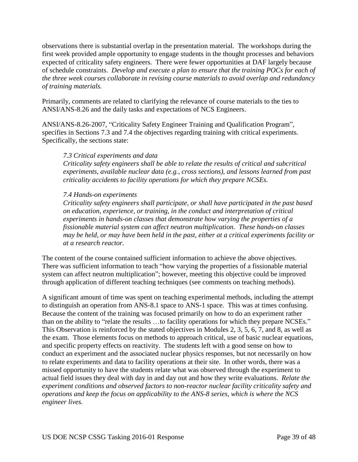observations there is substantial overlap in the presentation material. The workshops during the first week provided ample opportunity to engage students in the thought processes and behaviors expected of criticality safety engineers. There were fewer opportunities at DAF largely because of schedule constraints. *Develop and execute a plan to ensure that the training POCs for each of the three week courses collaborate in revising course materials to avoid overlap and redundancy of training materials.*

Primarily, comments are related to clarifying the relevance of course materials to the ties to ANSI/ANS-8.26 and the daily tasks and expectations of NCS Engineers.

ANSI/ANS-8.26-2007, "Criticality Safety Engineer Training and Qualification Program", specifies in Sections 7.3 and 7.4 the objectives regarding training with critical experiments. Specifically, the sections state:

#### *7.3 Critical experiments and data*

*Criticality safety engineers shall be able to relate the results of critical and subcritical experiments, available nuclear data (e.g., cross sections), and lessons learned from past criticality accidents to facility operations for which they prepare NCSEs.*

## *7.4 Hands-on experiments*

*Criticality safety engineers shall participate, or shall have participated in the past based on education, experience, or training, in the conduct and interpretation of critical experiments in hands-on classes that demonstrate how varying the properties of a fissionable material system can affect neutron multiplication. These hands-on classes may be held, or may have been held in the past, either at a critical experiments facility or at a research reactor.*

The content of the course contained sufficient information to achieve the above objectives. There was sufficient information to teach "how varying the properties of a fissionable material system can affect neutron multiplication"; however, meeting this objective could be improved through application of different teaching techniques (see comments on teaching methods).

A significant amount of time was spent on teaching experimental methods, including the attempt to distinguish an operation from ANS-8.1 space to ANS-1 space. This was at times confusing. Because the content of the training was focused primarily on how to do an experiment rather than on the ability to "relate the results …to facility operations for which they prepare NCSEs." This Observation is reinforced by the stated objectives in Modules 2, 3, 5, 6, 7, and 8, as well as the exam. Those elements focus on methods to approach critical, use of basic nuclear equations, and specific property effects on reactivity. The students left with a good sense on how to conduct an experiment and the associated nuclear physics responses, but not necessarily on how to relate experiments and data to facility operations at their site. In other words, there was a missed opportunity to have the students relate what was observed through the experiment to actual field issues they deal with day in and day out and how they write evaluations. *Relate the experiment conditions and observed factors to non-reactor nuclear facility criticality safety and operations and keep the focus on applicability to the ANS-8 series, which is where the NCS engineer lives.*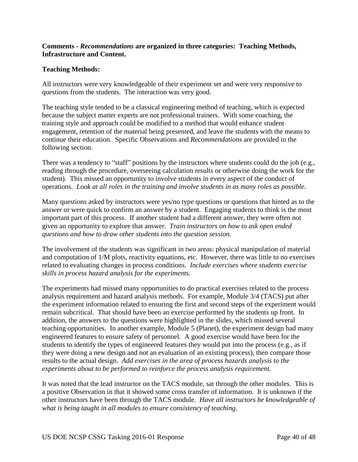## **Comments -** *Recommendations* **are organized in three categories: Teaching Methods, Infrastructure and Content.**

## **Teaching Methods:**

All instructors were very knowledgeable of their experiment set and were very responsive to questions from the students. The interaction was very good.

The teaching style tended to be a classical engineering method of teaching, which is expected because the subject matter experts are not professional trainers. With some coaching, the training style and approach could be modified to a method that would enhance student engagement, retention of the material being presented, and leave the students with the means to continue their education. Specific Observations and *Recommendations* are provided in the following section.

There was a tendency to "staff" positions by the instructors where students could do the job (e.g., reading through the procedure, overseeing calculation results or otherwise doing the work for the student). This missed an opportunity to involve students in every aspect of the conduct of operations. *Look at all roles in the training and involve students in as many roles as possible.*

Many questions asked by instructors were yes/no type questions or questions that hinted as to the answer or were quick to confirm an answer by a student. Engaging students to think is the most important part of this process. If another student had a different answer, they were often not given an opportunity to explore that answer. *Train instructors on how to ask open ended questions and how to draw other students into the question session.*

The involvement of the students was significant in two areas: physical manipulation of material and computation of 1/M plots, reactivity equations, etc. However, there was little to no exercises related to evaluating changes in process conditions. *Include exercises where students exercise skills in process hazard analysis for the experiments.*

The experiments had missed many opportunities to do practical exercises related to the process analysis requirement and hazard analysis methods. For example, Module 3/4 (TACS) put after the experiment information related to ensuring the first and second steps of the experiment would remain subcritical. That should have been an exercise performed by the students up front. In addition, the answers to the questions were highlighted in the slides, which missed several teaching opportunities. In another example, Module 5 (Planet), the experiment design had many engineered features to ensure safety of personnel. A good exercise would have been for the students to identify the types of engineered features they would put into the process (e.g., as if they were doing a new design and not an evaluation of an existing process), then compare those results to the actual design. *Add exercises in the area of process hazards analysis to the experiments about to be performed to reinforce the process analysis requirement.*

It was noted that the lead instructor on the TACS module, sat through the other modules. This is a positive Observation in that it showed some cross transfer of information. It is unknown if the other instructors have been through the TACS module. *Have all instructors be knowledgeable of what is being taught in all modules to ensure consistency of teaching.*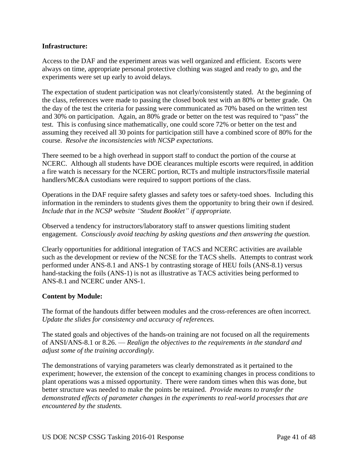## **Infrastructure:**

Access to the DAF and the experiment areas was well organized and efficient. Escorts were always on time, appropriate personal protective clothing was staged and ready to go, and the experiments were set up early to avoid delays.

The expectation of student participation was not clearly/consistently stated. At the beginning of the class, references were made to passing the closed book test with an 80% or better grade. On the day of the test the criteria for passing were communicated as 70% based on the written test and 30% on participation. Again, an 80% grade or better on the test was required to "pass" the test. This is confusing since mathematically, one could score 72% or better on the test and assuming they received all 30 points for participation still have a combined score of 80% for the course. *Resolve the inconsistencies with NCSP expectations.*

There seemed to be a high overhead in support staff to conduct the portion of the course at NCERC. Although all students have DOE clearances multiple escorts were required, in addition a fire watch is necessary for the NCERC portion, RCTs and multiple instructors/fissile material handlers/MC&A custodians were required to support portions of the class.

Operations in the DAF require safety glasses and safety toes or safety-toed shoes. Including this information in the reminders to students gives them the opportunity to bring their own if desired. *Include that in the NCSP website "Student Booklet" if appropriate.*

Observed a tendency for instructors/laboratory staff to answer questions limiting student engagement. *Consciously avoid teaching by asking questions and then answering the question.*

Clearly opportunities for additional integration of TACS and NCERC activities are available such as the development or review of the NCSE for the TACS shells. Attempts to contrast work performed under ANS-8.1 and ANS-1 by contrasting storage of HEU foils (ANS-8.1) versus hand-stacking the foils (ANS-1) is not as illustrative as TACS activities being performed to ANS-8.1 and NCERC under ANS-1.

#### **Content by Module:**

The format of the handouts differ between modules and the cross-references are often incorrect. *Update the slides for consistency and accuracy of references.*

The stated goals and objectives of the hands-on training are not focused on all the requirements of ANSI/ANS-8.1 or 8.26. — *Realign the objectives to the requirements in the standard and adjust some of the training accordingly.*

The demonstrations of varying parameters was clearly demonstrated as it pertained to the experiment; however, the extension of the concept to examining changes in process conditions to plant operations was a missed opportunity. There were random times when this was done, but better structure was needed to make the points be retained. *Provide means to transfer the demonstrated effects of parameter changes in the experiments to real-world processes that are encountered by the students.*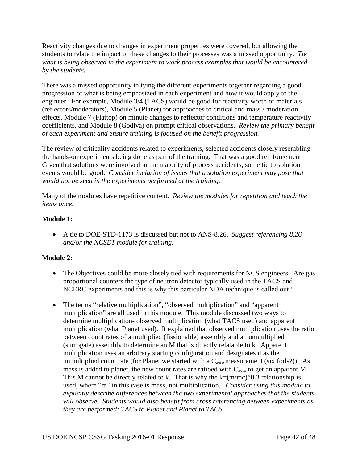Reactivity changes due to changes in experiment properties were covered, but allowing the students to relate the impact of these changes to their processes was a missed opportunity. *Tie what is being observed in the experiment to work process examples that would be encountered by the students.*

There was a missed opportunity in tying the different experiments together regarding a good progression of what is being emphasized in each experiment and how it would apply to the engineer. For example, Module 3/4 (TACS) would be good for reactivity worth of materials (reflectors/moderators), Module 5 (Planet) for approaches to critical and mass / moderation effects, Module 7 (Flattop) on minute changes to reflector conditions and temperature reactivity coefficients, and Module 8 (Godiva) on prompt critical observations. *Review the primary benefit of each experiment and ensure training is focused on the benefit progression.*

The review of criticality accidents related to experiments, selected accidents closely resembling the hands-on experiments being done as part of the training. That was a good reinforcement. Given that solutions were involved in the majority of process accidents, some tie to solution events would be good. *Consider inclusion of issues that a solution experiment may pose that would not be seen in the experiments performed at the training.*

Many of the modules have repetitive content. *Review the modules for repetition and teach the items once*.

# **Module 1:**

 A tie to DOE-STD-1173 is discussed but not to ANS-8.26. *Suggest referencing 8.26 and/or the NCSET module for training.*

# **Module 2:**

- The Objectives could be more closely tied with requirements for NCS engineers. Are gas proportional counters the type of neutron detector typically used in the TACS and NCERC experiments and this is why this particular NDA technique is called out?
- The terms "relative multiplication", "observed multiplication" and "apparent" multiplication" are all used in this module. This module discussed two ways to determine multiplication- observed multiplication (what TACS used) and apparent multiplication (what Planet used). It explained that observed multiplication uses the ratio between count rates of a multiplied (fissionable) assembly and an unmultiplied (surrogate) assembly to determine an M that is directly relatable to k. Apparent multiplication uses an arbitrary starting configuration and designates it as the unmultiplied count rate (for Planet we started with a  $C_{\text{zero}}$  measurement (six foils?)). As mass is added to planet, the new count rates are ratioed with  $C_{\text{zero}}$  to get an apparent M. This M cannot be directly related to k. That is why the  $k=(m/mc)^0$ . A relationship is used, where "m" in this case is mass, not multiplication.– *Consider using this module to explicitly describe differences between the two experimental approaches that the students will observe. Students would also benefit from cross referencing between experiments as they are performed; TACS to Planet and Planet to TACS.*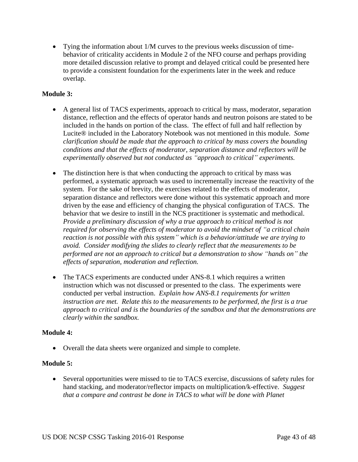Tying the information about 1/M curves to the previous weeks discussion of timebehavior of criticality accidents in Module 2 of the NFO course and perhaps providing more detailed discussion relative to prompt and delayed critical could be presented here to provide a consistent foundation for the experiments later in the week and reduce overlap.

# **Module 3:**

- A general list of TACS experiments, approach to critical by mass, moderator, separation distance, reflection and the effects of operator hands and neutron poisons are stated to be included in the hands on portion of the class. The effect of full and half reflection by Lucite® included in the Laboratory Notebook was not mentioned in this module. *Some clarification should be made that the approach to critical by mass covers the bounding conditions and that the effects of moderator, separation distance and reflectors will be experimentally observed but not conducted as "approach to critical" experiments.*
- The distinction here is that when conducting the approach to critical by mass was performed, a systematic approach was used to incrementally increase the reactivity of the system. For the sake of brevity, the exercises related to the effects of moderator, separation distance and reflectors were done without this systematic approach and more driven by the ease and efficiency of changing the physical configuration of TACS. The behavior that we desire to instill in the NCS practitioner is systematic and methodical. *Provide a preliminary discussion of why a true approach to critical method is not required for observing the effects of moderator to avoid the mindset of "a critical chain reaction is not possible with this system" which is a behavior/attitude we are trying to avoid. Consider modifying the slides to clearly reflect that the measurements to be performed are not an approach to critical but a demonstration to show "hands on" the effects of separation, moderation and reflection.*
- The TACS experiments are conducted under ANS-8.1 which requires a written instruction which was not discussed or presented to the class. The experiments were conducted per verbal instruction. *Explain how ANS-8.1 requirements for written instruction are met. Relate this to the measurements to be performed, the first is a true approach to critical and is the boundaries of the sandbox and that the demonstrations are clearly within the sandbox.*

# **Module 4:**

Overall the data sheets were organized and simple to complete.

# **Module 5:**

 Several opportunities were missed to tie to TACS exercise, discussions of safety rules for hand stacking, and moderator/reflector impacts on multiplication/k-effective. *Suggest that a compare and contrast be done in TACS to what will be done with Planet*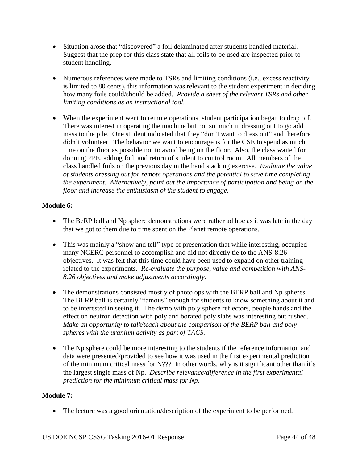- Situation arose that "discovered" a foil delaminated after students handled material. Suggest that the prep for this class state that all foils to be used are inspected prior to student handling.
- Numerous references were made to TSRs and limiting conditions (i.e., excess reactivity is limited to 80 cents), this information was relevant to the student experiment in deciding how many foils could/should be added. *Provide a sheet of the relevant TSRs and other limiting conditions as an instructional tool.*
- When the experiment went to remote operations, student participation began to drop off. There was interest in operating the machine but not so much in dressing out to go add mass to the pile. One student indicated that they "don't want to dress out" and therefore didn't volunteer. The behavior we want to encourage is for the CSE to spend as much time on the floor as possible not to avoid being on the floor. Also, the class waited for donning PPE, adding foil, and return of student to control room. All members of the class handled foils on the previous day in the hand stacking exercise. *Evaluate the value of students dressing out for remote operations and the potential to save time completing the experiment. Alternatively, point out the importance of participation and being on the floor and increase the enthusiasm of the student to engage.*

# **Module 6:**

- The BeRP ball and Np sphere demonstrations were rather ad hoc as it was late in the day that we got to them due to time spent on the Planet remote operations.
- This was mainly a "show and tell" type of presentation that while interesting, occupied many NCERC personnel to accomplish and did not directly tie to the ANS-8.26 objectives. It was felt that this time could have been used to expand on other training related to the experiments. *Re-evaluate the purpose, value and competition with ANS-8.26 objectives and make adjustments accordingly.*
- The demonstrations consisted mostly of photo ops with the BERP ball and Np spheres. The BERP ball is certainly "famous" enough for students to know something about it and to be interested in seeing it. The demo with poly sphere reflectors, people hands and the effect on neutron detection with poly and borated poly slabs was interesting but rushed. *Make an opportunity to talk/teach about the comparison of the BERP ball and poly spheres with the uranium activity as part of TACS.*
- The Np sphere could be more interesting to the students if the reference information and data were presented/provided to see how it was used in the first experimental prediction of the minimum critical mass for N??? In other words, why is it significant other than it's the largest single mass of Np. *Describe relevance/difference in the first experimental prediction for the minimum critical mass for Np.*

# **Module 7:**

The lecture was a good orientation/description of the experiment to be performed.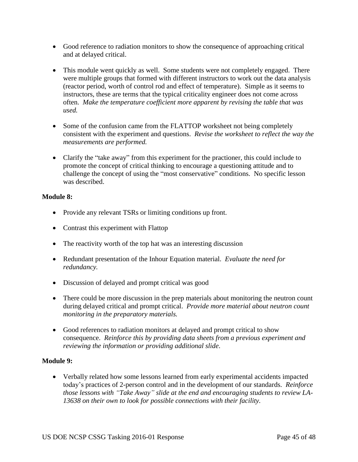- Good reference to radiation monitors to show the consequence of approaching critical and at delayed critical.
- This module went quickly as well. Some students were not completely engaged. There were multiple groups that formed with different instructors to work out the data analysis (reactor period, worth of control rod and effect of temperature). Simple as it seems to instructors, these are terms that the typical criticality engineer does not come across often. *Make the temperature coefficient more apparent by revising the table that was used.*
- Some of the confusion came from the FLATTOP worksheet not being completely consistent with the experiment and questions. *Revise the worksheet to reflect the way the measurements are performed.*
- Clarify the "take away" from this experiment for the practioner, this could include to promote the concept of critical thinking to encourage a questioning attitude and to challenge the concept of using the "most conservative" conditions. No specific lesson was described.

## **Module 8:**

- Provide any relevant TSRs or limiting conditions up front.
- Contrast this experiment with Flattop
- The reactivity worth of the top hat was an interesting discussion
- Redundant presentation of the Inhour Equation material. *Evaluate the need for redundancy.*
- Discussion of delayed and prompt critical was good
- There could be more discussion in the prep materials about monitoring the neutron count during delayed critical and prompt critical. *Provide more material about neutron count monitoring in the preparatory materials.*
- Good references to radiation monitors at delayed and prompt critical to show consequence. *Reinforce this by providing data sheets from a previous experiment and reviewing the information or providing additional slide*.

# **Module 9:**

 Verbally related how some lessons learned from early experimental accidents impacted today's practices of 2-person control and in the development of our standards. *Reinforce those lessons with "Take Away" slide at the end and encouraging students to review LA-13638 on their own to look for possible connections with their facility.*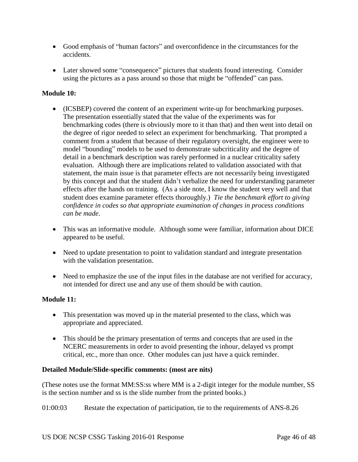- Good emphasis of "human factors" and overconfidence in the circumstances for the accidents.
- Later showed some "consequence" pictures that students found interesting. Consider using the pictures as a pass around so those that might be "offended" can pass.

# **Module 10:**

- (ICSBEP) covered the content of an experiment write-up for benchmarking purposes. The presentation essentially stated that the value of the experiments was for benchmarking codes (there is obviously more to it than that) and then went into detail on the degree of rigor needed to select an experiment for benchmarking. That prompted a comment from a student that because of their regulatory oversight, the engineer were to model "bounding" models to be used to demonstrate subcriticality and the degree of detail in a benchmark description was rarely performed in a nuclear criticality safety evaluation. Although there are implications related to validation associated with that statement, the main issue is that parameter effects are not necessarily being investigated by this concept and that the student didn't verbalize the need for understanding parameter effects after the hands on training. (As a side note, I know the student very well and that student does examine parameter effects thoroughly.) *Tie the benchmark effort to giving confidence in codes so that appropriate examination of changes in process conditions can be made*.
- This was an informative module. Although some were familiar, information about DICE appeared to be useful.
- Need to update presentation to point to validation standard and integrate presentation with the validation presentation.
- Need to emphasize the use of the input files in the database are not verified for accuracy, not intended for direct use and any use of them should be with caution.

# **Module 11:**

- This presentation was moved up in the material presented to the class, which was appropriate and appreciated.
- This should be the primary presentation of terms and concepts that are used in the NCERC measurements in order to avoid presenting the inhour, delayed vs prompt critical, etc., more than once. Other modules can just have a quick reminder.

# **Detailed Module/Slide-specific comments: (most are nits)**

(These notes use the format MM:SS:ss where MM is a 2-digit integer for the module number, SS is the section number and ss is the slide number from the printed books.)

01:00:03 Restate the expectation of participation, tie to the requirements of ANS-8.26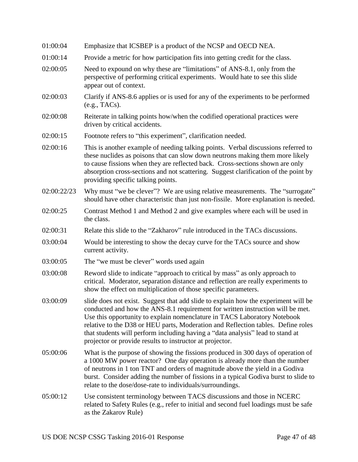| 01:00:04    | Emphasize that ICSBEP is a product of the NCSP and OECD NEA.                                                                                                                                                                                                                                                                                                                                                                                                                       |
|-------------|------------------------------------------------------------------------------------------------------------------------------------------------------------------------------------------------------------------------------------------------------------------------------------------------------------------------------------------------------------------------------------------------------------------------------------------------------------------------------------|
| 01:00:14    | Provide a metric for how participation fits into getting credit for the class.                                                                                                                                                                                                                                                                                                                                                                                                     |
| 02:00:05    | Need to expound on why these are "limitations" of ANS-8.1, only from the<br>perspective of performing critical experiments. Would hate to see this slide<br>appear out of context.                                                                                                                                                                                                                                                                                                 |
| 02:00:03    | Clarify if ANS-8.6 applies or is used for any of the experiments to be performed<br>(e.g., TACs).                                                                                                                                                                                                                                                                                                                                                                                  |
| 02:00:08    | Reiterate in talking points how/when the codified operational practices were<br>driven by critical accidents.                                                                                                                                                                                                                                                                                                                                                                      |
| 02:00:15    | Footnote refers to "this experiment", clarification needed.                                                                                                                                                                                                                                                                                                                                                                                                                        |
| 02:00:16    | This is another example of needing talking points. Verbal discussions referred to<br>these nuclides as poisons that can slow down neutrons making them more likely<br>to cause fissions when they are reflected back. Cross-sections shown are only<br>absorption cross-sections and not scattering. Suggest clarification of the point by<br>providing specific talking points.                                                                                                   |
| 02:00:22/23 | Why must "we be clever"? We are using relative measurements. The "surrogate"<br>should have other characteristic than just non-fissile. More explanation is needed.                                                                                                                                                                                                                                                                                                                |
| 02:00:25    | Contrast Method 1 and Method 2 and give examples where each will be used in<br>the class.                                                                                                                                                                                                                                                                                                                                                                                          |
| 02:00:31    | Relate this slide to the "Zakharov" rule introduced in the TACs discussions.                                                                                                                                                                                                                                                                                                                                                                                                       |
| 03:00:04    | Would be interesting to show the decay curve for the TACs source and show<br>current activity.                                                                                                                                                                                                                                                                                                                                                                                     |
| 03:00:05    | The "we must be clever" words used again                                                                                                                                                                                                                                                                                                                                                                                                                                           |
| 03:00:08    | Reword slide to indicate "approach to critical by mass" as only approach to<br>critical. Moderator, separation distance and reflection are really experiments to<br>show the effect on multiplication of those specific parameters.                                                                                                                                                                                                                                                |
| 03:00:09    | slide does not exist. Suggest that add slide to explain how the experiment will be<br>conducted and how the ANS-8.1 requirement for written instruction will be met.<br>Use this opportunity to explain nomenclature in TACS Laboratory Notebook<br>relative to the D38 or HEU parts, Moderation and Reflection tables. Define roles<br>that students will perform including having a "data analysis" lead to stand at<br>projector or provide results to instructor at projector. |
| 05:00:06    | What is the purpose of showing the fissions produced in 300 days of operation of<br>a 1000 MW power reactor? One day operation is already more than the number<br>of neutrons in 1 ton TNT and orders of magnitude above the yield in a Godiva<br>burst. Consider adding the number of fissions in a typical Godiva burst to slide to<br>relate to the dose/dose-rate to individuals/surroundings.                                                                                 |
| 05:00:12    | Use consistent terminology between TACS discussions and those in NCERC<br>related to Safety Rules (e.g., refer to initial and second fuel loadings must be safe<br>as the Zakarov Rule)                                                                                                                                                                                                                                                                                            |